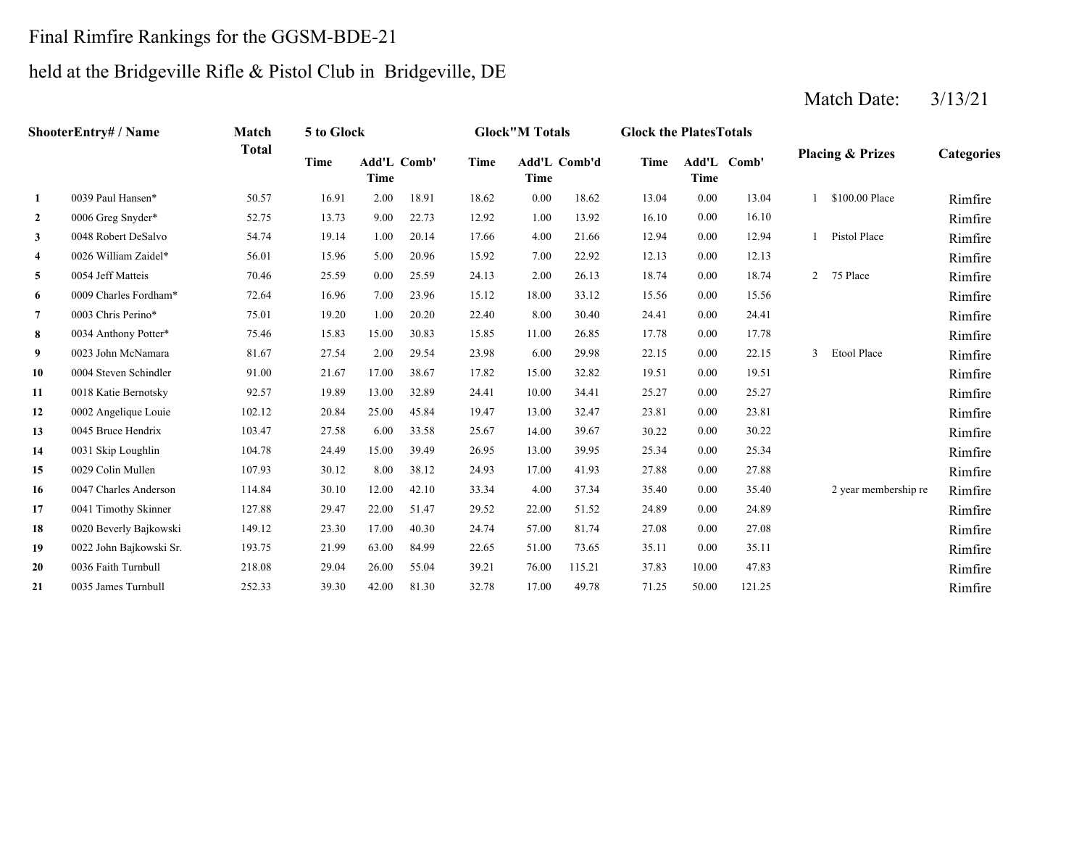### Final Rimfire Rankings for the GGSM-BDE-21

## held at the Bridgeville Rifle & Pistol Club in Bridgeville, DE

#### **2** 1.00 16.10 RimfireRimfire **3** 4.00 12.94 RimfireRimfire **4**4 0026 William Zaidel\* 56.01 15.96 5.00 20.96 15.92 7.00 22.92 12.13 0.00 12.13 1 20.13 Rimfire **5**5 0054 Jeff Matteis 2008 10:46 25.59 0.00 25.59 24.13 2.00 26.13 18.74 0.00 18.74 2 75 Place Rimfire **6**6 0009 Charles Fordham\* 72.64 16.96 7.00 23.96 15.12 18.00 33.12 15.56 0.00 15.56 15.56 1.12 Rimfire **7** 8.00 24.41 Rimfire**8**8 0034 Anthony Potter\* 75.46 15.83 15.00 30.83 15.85 11.00 26.85 17.78 0.00 17.78 17.78 **9**9 0023 John McNamara 281.67 27.54 2.00 29.54 23.98 6.00 29.98 22.15 0.00 22.15 3 Etool Place Rimfire **10** 15.00 19.51 RimfireRimfire **11** 10.00 25.27 RimfireRimfire **12**2 0002 Angelique Louie 102.12 20.84 25.00 45.84 19.47 13.00 32.47 23.81 0.00 23.81 1 23.81 Rimfire Rimfire **13**3 0045 Bruce Hendrix 103.47 27.58 6.00 33.58 25.67 14.00 39.67 30.22 0.00 30.22 200 2012 Rimfire **14**4 0031 Skip Loughlin 104.78 24.49 15.00 39.49 26.95 13.00 39.95 25.34 0.00 25.34 1 25.34 1 26.95 25.34 1 26.95 **15** 17.00 27.88 Rimfire**16**6 0047 Charles Anderson 114.84 30.10 12.00 42.10 33.34 4.00 37.34 35.40 0.00 35.40 2 year membership re Rimfire **17** 22.00 24.89 Rimfire**18** 57.00 27.08 Rimfire0020 Beverly Bajkowski 149.12 23.30 17.00 40.30 24.74 Rimfire **19** 51.00 35.11 Rimfire0022 John Bajkowski Sr. 193.75 21.99 63.00 84.99 22.65 Rimfire **20**0 0036 Faith Turnbull 218.08 29.04 26.00 55.04 39.21 76.00 115.21 37.83 10.00 47.83 Rimfire **21**1 0035 James Turnbull 252.33 39.30 42.00 81.30 32.78 17.00 49.78 71.25 50.00 121.25 Aimfire Rimfire 115.21 37.83 10.00 47.83 0035 James Turnbull 252.33 39.30 42.00 81.30 32.78 73.65 0.00 35.11 0036 Faith Turnbull 218.08 29.04 26.00 55.04 39.21 81.74 0.00 27.08 51.52 0.00 24.89 0.00 35.40 2 year membership re 0041 Timothy Skinner 127.88 29.47 22.00 51.47 29.52 0.00 27.88 0047 Charles Anderson 114.84 30.10 12.00 42.10 33.34 4.00 37.34 0.00 25.34 0029 Colin Mullen 107.93 30.12 8.00 38.12 24.93 17.00 41.93 0.00 30.22 0031 Skip Loughlin 104.78 24.49 15.00 39.49 26.95 13.00 39.95 0.00 23.81 0045 Bruce Hendrix 103.47 27.58 6.00 33.58 25.67 14.00 39.67 0.00 25.27 0002 Angelique Louie 102.12 20.84 25.00 45.84 19.47 32.47 0.00 19.51 0018 Katie Bernotsky **92.57** 19.89 13.00 32.89 24.41 10.00 34.41 3 Etool Place 0004 Steven Schindler 91.00 21.67 17.00 38.67 17.82 15.00 32.82 0023 John McNamara 81.67 27.54 2.00 29.54 23.98 6.00 29.98 22.15 0.00 22.15 0034 Anthony Potter\* 75.46 15.83 15.00 30.83 15.85 11.00 26.85 17.78 0.00 17.78 0003 Chris Perino\* 75.01 19.20 1.00 20.20 22.40 8.00 30.40 24.41 0.00 24.41 0009 Charles Fordham\* 72.64 16.96 7.00 23.96 15.12 18.00 33.12 15.56 0.00 15.56 24.13 2.00 26.13 18.74 0.00 18.74 2 75 Place 15.92 22.92 0.00 12.13 0054 Jeff Matteis 70.46 25.59 0.00 25.59 0.00 12.94 1 Pistol Place 0026 William Zaidel\* 56.01 15.96 5.00 20.96 0.00 16.10 0048 Robert DeSalvo 54.74 19.14 1.00 20.14 17.66 4.00 21.66 1 \$100.00 Place Rimfire 0006 Greg Snyder\* 52.75 13.73 9.00 22.73 12.92 1.00 13.92 **1**0039 Paul Hansen\* 50.57 16.91 2.00 18.91 18.62 0.00 18.62 13.04 0.00 13.04 **Categories Time Add'L Time Comb' Time Add'L Time Comb'd Time Add'L Comb' Time ShooterEntry# / Name Match Total5 to Glock Glock"M Totals Glock the PlatesTotals Placing & Prizes**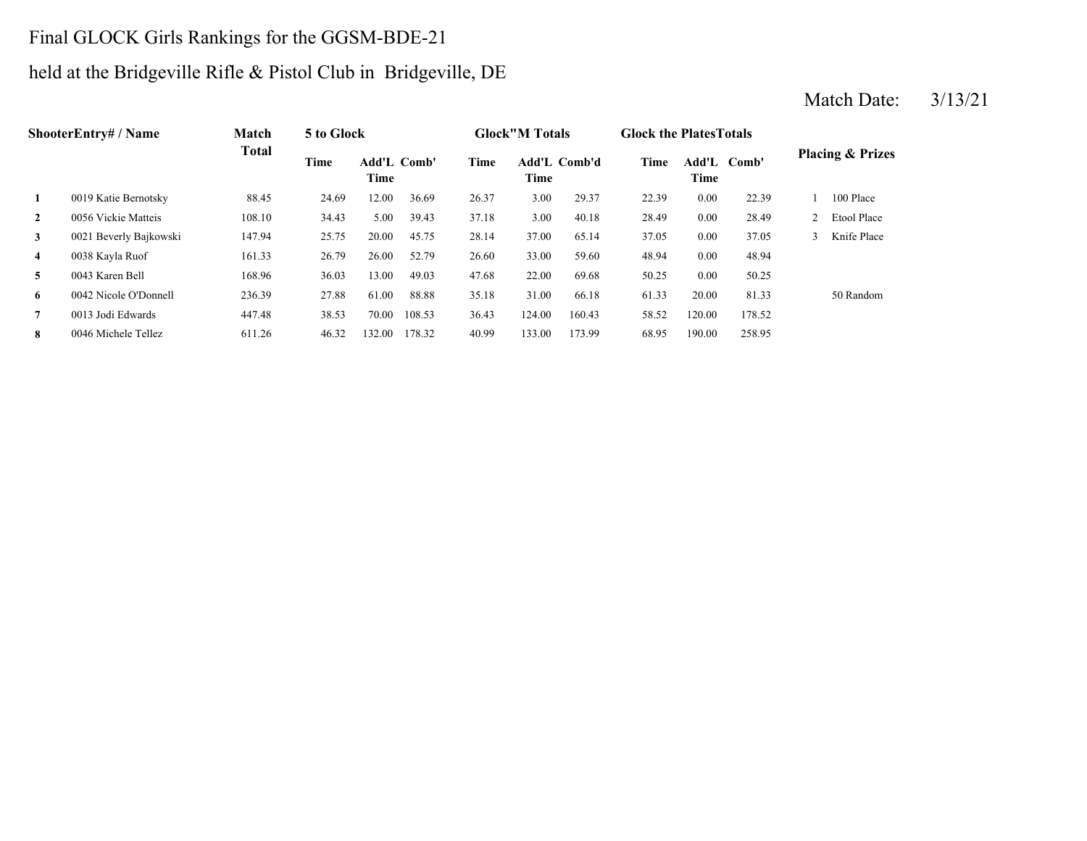# Final GLOCK Girls Rankings for the GGSM-BDE-21

# held at the Bridgeville Rifle & Pistol Club in Bridgeville, DE

|                | <b>ShooterEntry# / Name</b> | Match        | 5 to Glock |                     |        |             | <b>Glock</b> "M Totals |              | <b>Glock the Plates Totals</b> |                     |        |               |                             |
|----------------|-----------------------------|--------------|------------|---------------------|--------|-------------|------------------------|--------------|--------------------------------|---------------------|--------|---------------|-----------------------------|
|                |                             | <b>Total</b> | Time       | Add'L Comb'<br>Time |        | <b>Time</b> | Time                   | Add'L Comb'd | <b>Time</b>                    | Add'L Comb'<br>Time |        |               | <b>Placing &amp; Prizes</b> |
| 1              | 0019 Katie Bernotsky        | 88.45        | 24.69      | 12.00               | 36.69  | 26.37       | 3.00                   | 29.37        | 22.39                          | 0.00                | 22.39  |               | 100 Place                   |
| $\overline{2}$ | 0056 Vickie Matteis         | 108.10       | 34.43      | 5.00                | 39.43  | 37.18       | 3.00                   | 40.18        | 28.49                          | 0.00                | 28.49  |               | Etool Place                 |
| $\mathbf{3}$   | 0021 Beverly Bajkowski      | 147.94       | 25.75      | 20.00               | 45.75  | 28.14       | 37.00                  | 65.14        | 37.05                          | 0.00                | 37.05  | $\mathcal{L}$ | Knife Place                 |
| $\overline{4}$ | 0038 Kayla Ruof             | 161.33       | 26.79      | 26.00               | 52.79  | 26.60       | 33.00                  | 59.60        | 48.94                          | 0.00                | 48.94  |               |                             |
| 5              | 0043 Karen Bell             | 168.96       | 36.03      | 13.00               | 49.03  | 47.68       | 22.00                  | 69.68        | 50.25                          | 0.00                | 50.25  |               |                             |
| 6              | 0042 Nicole O'Donnell       | 236.39       | 27.88      | 61.00               | 88.88  | 35.18       | 31.00                  | 66.18        | 61.33                          | 20.00               | 81.33  |               | 50 Random                   |
| $\overline{7}$ | 0013 Jodi Edwards           | 447.48       | 38.53      | 70.00               | 108.53 | 36.43       | 124.00                 | 160.43       | 58.52                          | 120.00              | 178.52 |               |                             |
| 8              | 0046 Michele Tellez         | 611.26       | 46.32      | 132.00              | 178.32 | 40.99       | 133.00                 | 173.99       | 68.95                          | 190.00              | 258.95 |               |                             |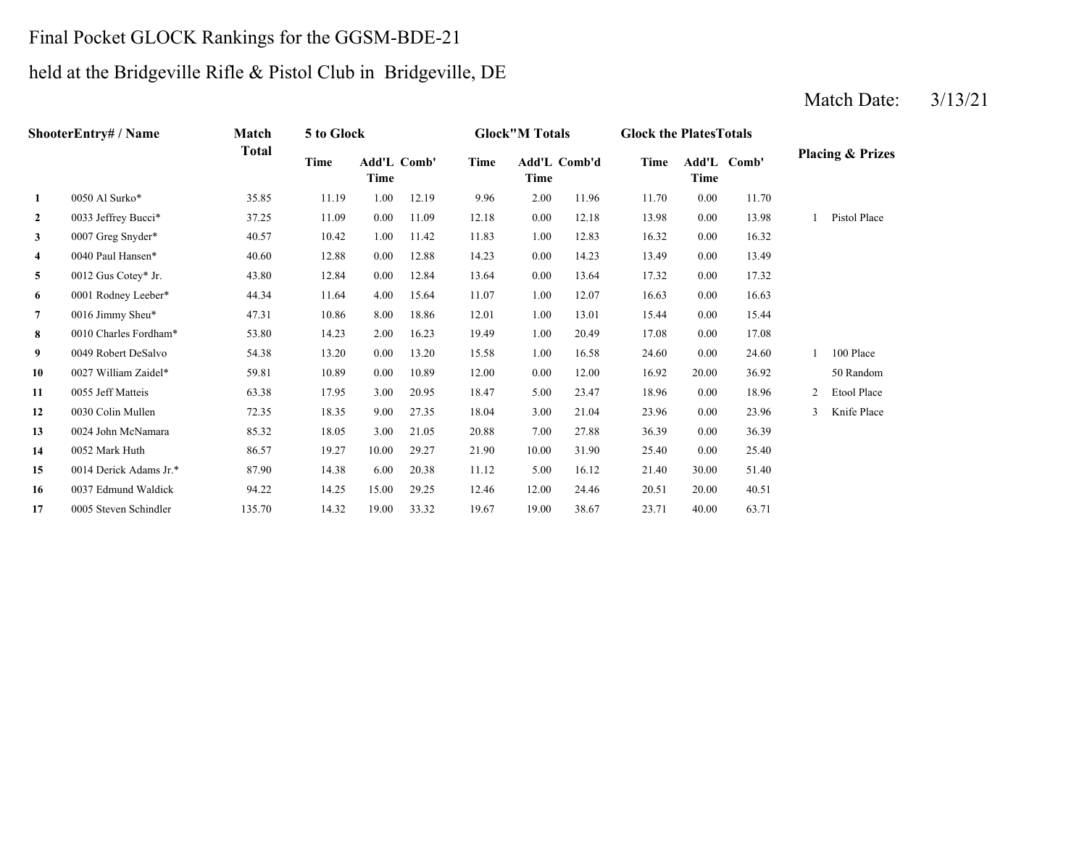# Final Pocket GLOCK Rankings for the GGSM-BDE-21

# held at the Bridgeville Rifle & Pistol Club in Bridgeville, DE

|                         | ShooterEntry# / Name   | Match        | 5 to Glock |                     |       |       | <b>Glock"M Totals</b> |              | <b>Glock the Plates Totals</b> |       |             |                |                             |
|-------------------------|------------------------|--------------|------------|---------------------|-------|-------|-----------------------|--------------|--------------------------------|-------|-------------|----------------|-----------------------------|
|                         |                        | <b>Total</b> | Time       | Add'L Comb'<br>Time |       | Time  | Time                  | Add'L Comb'd | Time                           | Time  | Add'L Comb' |                | <b>Placing &amp; Prizes</b> |
| $\mathbf{1}$            | 0050 Al Surko*         | 35.85        | 11.19      | 1.00                | 12.19 | 9.96  | 2.00                  | 11.96        | 11.70                          | 0.00  | 11.70       |                |                             |
| $\overline{2}$          | 0033 Jeffrey Bucci*    | 37.25        | 11.09      | 0.00                | 11.09 | 12.18 | 0.00                  | 12.18        | 13.98                          | 0.00  | 13.98       |                | Pistol Place                |
| $\mathbf{3}$            | 0007 Greg Snyder*      | 40.57        | 10.42      | 1.00                | 11.42 | 11.83 | 1.00                  | 12.83        | 16.32                          | 0.00  | 16.32       |                |                             |
| $\overline{\mathbf{4}}$ | 0040 Paul Hansen*      | 40.60        | 12.88      | 0.00                | 12.88 | 14.23 | 0.00                  | 14.23        | 13.49                          | 0.00  | 13.49       |                |                             |
| 5                       | 0012 Gus Cotey* Jr.    | 43.80        | 12.84      | 0.00                | 12.84 | 13.64 | 0.00                  | 13.64        | 17.32                          | 0.00  | 17.32       |                |                             |
| 6                       | 0001 Rodney Leeber*    | 44.34        | 11.64      | 4.00                | 15.64 | 11.07 | 1.00                  | 12.07        | 16.63                          | 0.00  | 16.63       |                |                             |
| $\overline{7}$          | 0016 Jimmy Sheu*       | 47.31        | 10.86      | 8.00                | 18.86 | 12.01 | 1.00                  | 13.01        | 15.44                          | 0.00  | 15.44       |                |                             |
| 8                       | 0010 Charles Fordham*  | 53.80        | 14.23      | 2.00                | 16.23 | 19.49 | 1.00                  | 20.49        | 17.08                          | 0.00  | 17.08       |                |                             |
| 9                       | 0049 Robert DeSalvo    | 54.38        | 13.20      | 0.00                | 13.20 | 15.58 | 1.00                  | 16.58        | 24.60                          | 0.00  | 24.60       |                | 100 Place                   |
| 10                      | 0027 William Zaidel*   | 59.81        | 10.89      | 0.00                | 10.89 | 12.00 | 0.00                  | 12.00        | 16.92                          | 20.00 | 36.92       |                | 50 Random                   |
| 11                      | 0055 Jeff Matteis      | 63.38        | 17.95      | 3.00                | 20.95 | 18.47 | 5.00                  | 23.47        | 18.96                          | 0.00  | 18.96       | $\overline{c}$ | Etool Place                 |
| 12                      | 0030 Colin Mullen      | 72.35        | 18.35      | 9.00                | 27.35 | 18.04 | 3.00                  | 21.04        | 23.96                          | 0.00  | 23.96       | 3              | Knife Place                 |
| 13                      | 0024 John McNamara     | 85.32        | 18.05      | 3.00                | 21.05 | 20.88 | 7.00                  | 27.88        | 36.39                          | 0.00  | 36.39       |                |                             |
| 14                      | 0052 Mark Huth         | 86.57        | 19.27      | 10.00               | 29.27 | 21.90 | 10.00                 | 31.90        | 25.40                          | 0.00  | 25.40       |                |                             |
| 15                      | 0014 Derick Adams Jr.* | 87.90        | 14.38      | 6.00                | 20.38 | 11.12 | 5.00                  | 16.12        | 21.40                          | 30.00 | 51.40       |                |                             |
| 16                      | 0037 Edmund Waldick    | 94.22        | 14.25      | 15.00               | 29.25 | 12.46 | 12.00                 | 24.46        | 20.51                          | 20.00 | 40.51       |                |                             |
| 17                      | 0005 Steven Schindler  | 135.70       | 14.32      | 19.00               | 33.32 | 19.67 | 19.00                 | 38.67        | 23.71                          | 40.00 | 63.71       |                |                             |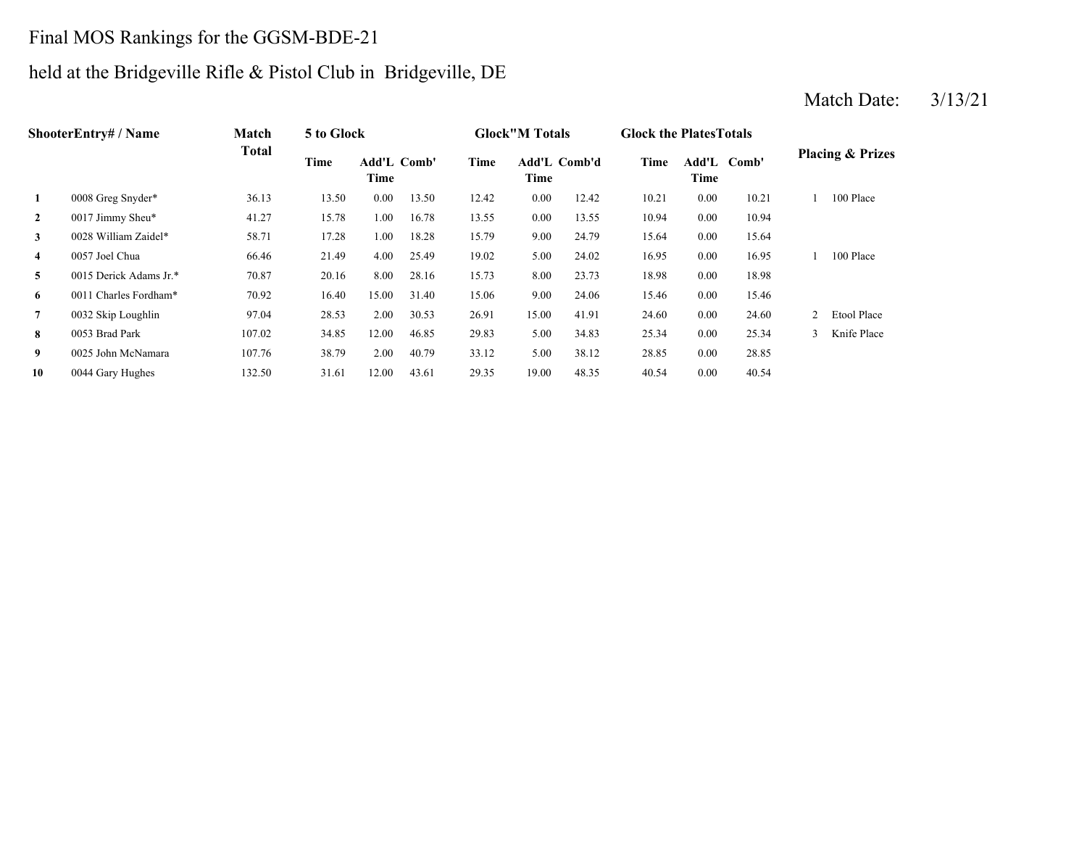# Final MOS Rankings for the GGSM-BDE-21

# held at the Bridgeville Rifle & Pistol Club in Bridgeville, DE

|                | <b>ShooterEntrv# / Name</b> | Match        | 5 to Glock |       |                    |             | <b>Glock</b> "M Totals |              | <b>Glock the Plates Totals</b> |                     |       |               |                             |
|----------------|-----------------------------|--------------|------------|-------|--------------------|-------------|------------------------|--------------|--------------------------------|---------------------|-------|---------------|-----------------------------|
|                |                             | <b>Total</b> | Time       | Time  | <b>Add'L Comb'</b> | <b>Time</b> | Time                   | Add'L Comb'd | Time                           | Add'L Comb'<br>Time |       |               | <b>Placing &amp; Prizes</b> |
| 1              | 0008 Greg Snyder*           | 36.13        | 13.50      | 0.00  | 13.50              | 12.42       | 0.00                   | 12.42        | 10.21                          | 0.00                | 10.21 |               | 100 Place                   |
| $\overline{2}$ | 0017 Jimmy Sheu*            | 41.27        | 15.78      | 00.1  | 16.78              | 13.55       | 0.00                   | 13.55        | 10.94                          | 0.00                | 10.94 |               |                             |
| 3              | 0028 William Zaidel*        | 58.71        | 17.28      | 00.1  | 18.28              | 15.79       | 9.00                   | 24.79        | 15.64                          | 0.00                | 15.64 |               |                             |
| 4              | 0057 Joel Chua              | 66.46        | 21.49      | 4.00  | 25.49              | 19.02       | 5.00                   | 24.02        | 16.95                          | 0.00                | 16.95 |               | 100 Place                   |
| 5              | 0015 Derick Adams Jr.*      | 70.87        | 20.16      | 8.00  | 28.16              | 15.73       | 8.00                   | 23.73        | 18.98                          | 0.00                | 18.98 |               |                             |
| 6              | 0011 Charles Fordham*       | 70.92        | 16.40      | 15.00 | 31.40              | 15.06       | 9.00                   | 24.06        | 15.46                          | 0.00                | 15.46 |               |                             |
| $\overline{7}$ | 0032 Skip Loughlin          | 97.04        | 28.53      | 2.00  | 30.53              | 26.91       | 15.00                  | 41.91        | 24.60                          | 0.00                | 24.60 | 2             | Etool Place                 |
| 8              | 0053 Brad Park              | 107.02       | 34.85      | 12.00 | 46.85              | 29.83       | 5.00                   | 34.83        | 25.34                          | 0.00                | 25.34 | $\mathcal{E}$ | Knife Place                 |
| 9              | 0025 John McNamara          | 107.76       | 38.79      | 2.00  | 40.79              | 33.12       | 5.00                   | 38.12        | 28.85                          | 0.00                | 28.85 |               |                             |
| 10             | 0044 Gary Hughes            | 132.50       | 31.61      | 12.00 | 43.61              | 29.35       | 19.00                  | 48.35        | 40.54                          | 0.00                | 40.54 |               |                             |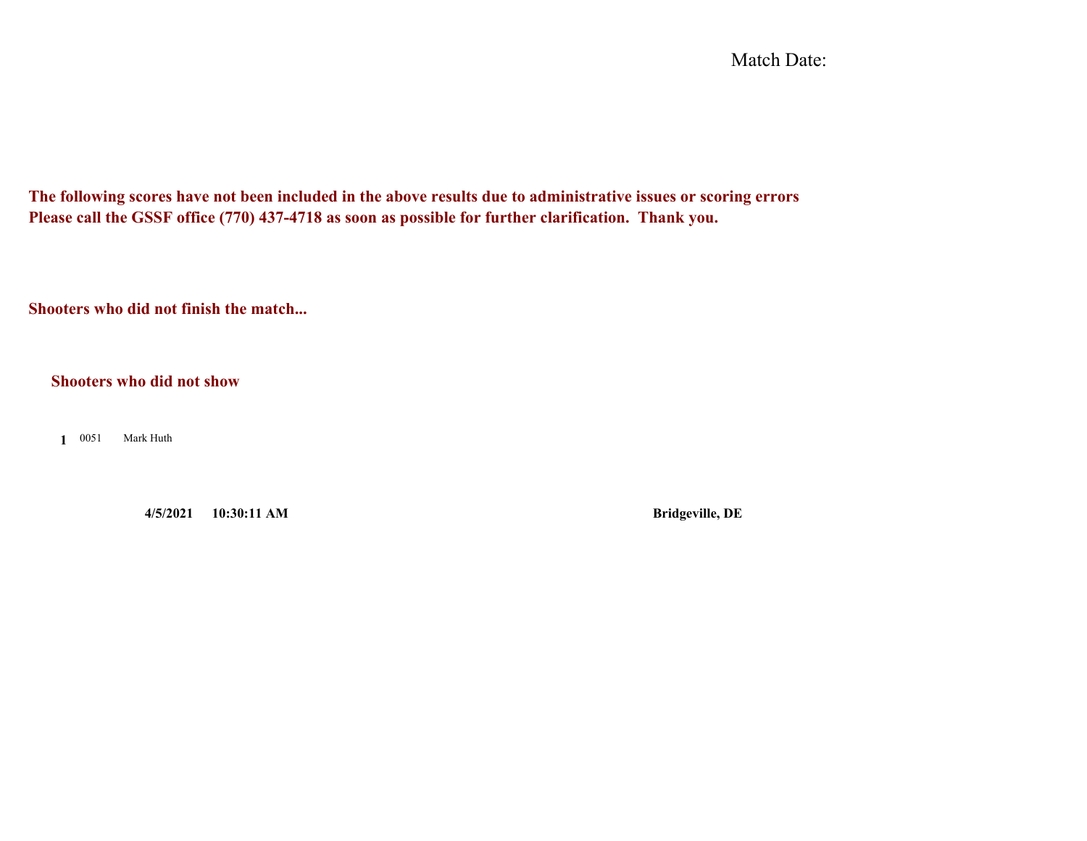Match Date:

**The following scores have not been included in the above results due to administrative issues or scoring errors Please call the GSSF office (770) 437-4718 as soon as possible for further clarification. Thank you.**

**Shooters who did not finish the match...**

**Shooters who did not show**

**1**Mark Huth

**4/5/2021 10:30:11 AM Bridgeville, DE**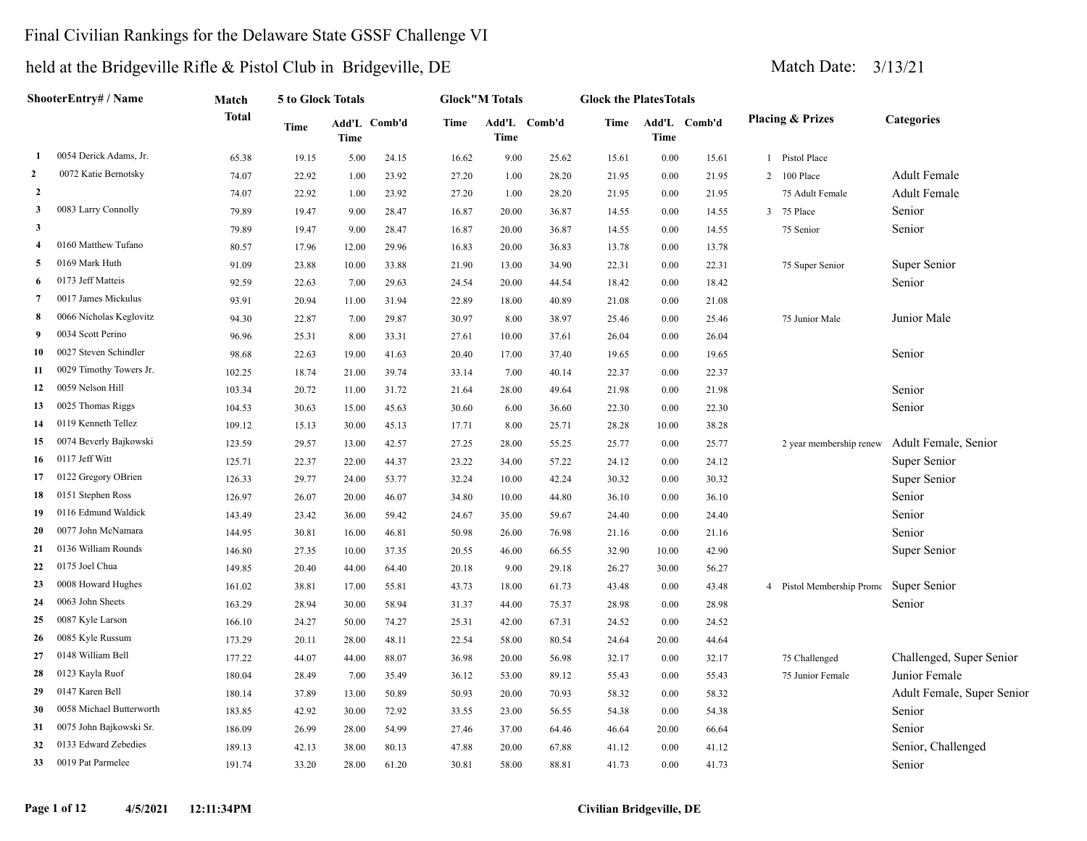### Final Civilian Rankings for the Delaware State GSSF Challenge VI

|                | ShooterEntry# / Name     | Match  | <b>5 to Glock Totals</b> |             |              |       | <b>Glock</b> "M Totals |              | <b>Glock the PlatesTotals</b> |             |              |                             |                            |
|----------------|--------------------------|--------|--------------------------|-------------|--------------|-------|------------------------|--------------|-------------------------------|-------------|--------------|-----------------------------|----------------------------|
|                |                          | Total  | Time                     | <b>Time</b> | Add'L Comb'd | Time  | Time                   | Add'L Comb'd | Time                          | <b>Time</b> | Add'L Comb'd | <b>Placing &amp; Prizes</b> | <b>Categories</b>          |
| 1              | 0054 Derick Adams, Jr.   | 65.38  | 19.15                    | 5.00        | 24.15        | 16.62 | 9.00                   | 25.62        | 15.61                         | $0.00\,$    | 15.61        | 1 Pistol Place              |                            |
| $\overline{2}$ | 0072 Katie Bernotsky     | 74.07  | 22.92                    | 1.00        | 23.92        | 27.20 | 1.00                   | 28.20        | 21.95                         | 0.00        | 21.95        | 2 100 Place                 | <b>Adult Female</b>        |
| $\overline{2}$ |                          | 74.07  | 22.92                    | 1.00        | 23.92        | 27.20 | 1.00                   | 28.20        | 21.95                         | 0.00        | 21.95        | 75 Adult Female             | Adult Female               |
| 3              | 0083 Larry Connolly      | 79.89  | 19.47                    | 9.00        | 28.47        | 16.87 | 20.00                  | 36.87        | 14.55                         | 0.00        | 14.55        | 3 75 Place                  | Senior                     |
| 3              |                          | 79.89  | 19.47                    | 9.00        | 28.47        | 16.87 | 20.00                  | 36.87        | 14.55                         | 0.00        | 14.55        | 75 Senior                   | Senior                     |
| 4              | 0160 Matthew Tufano      | 80.57  | 17.96                    | 12.00       | 29.96        | 16.83 | 20.00                  | 36.83        | 13.78                         | $0.00\,$    | 13.78        |                             |                            |
| 5              | 0169 Mark Huth           | 91.09  | 23.88                    | 10.00       | 33.88        | 21.90 | 13.00                  | 34.90        | 22.31                         | 0.00        | 22.31        | 75 Super Senior             | Super Senior               |
| 6              | 0173 Jeff Matteis        | 92.59  | 22.63                    | 7.00        | 29.63        | 24.54 | 20.00                  | 44.54        | 18.42                         | 0.00        | 18.42        |                             | Senior                     |
| 7              | 0017 James Mickulus      | 93.91  | 20.94                    | 11.00       | 31.94        | 22.89 | 18.00                  | 40.89        | 21.08                         | 0.00        | 21.08        |                             |                            |
| 8              | 0066 Nicholas Keglovitz  | 94.30  | 22.87                    | 7.00        | 29.87        | 30.97 | 8.00                   | 38.97        | 25.46                         | $0.00\,$    | 25.46        | 75 Junior Male              | Junior Male                |
| 9              | 0034 Scott Perino        | 96.96  | 25.31                    | 8.00        | 33.31        | 27.61 | 10.00                  | 37.61        | 26.04                         | 0.00        | 26.04        |                             |                            |
| 10             | 0027 Steven Schindler    | 98.68  | 22.63                    | 19.00       | 41.63        | 20.40 | 17.00                  | 37.40        | 19.65                         | $0.00\,$    | 19.65        |                             | Senior                     |
| 11             | 0029 Timothy Towers Jr.  | 102.25 | 18.74                    | 21.00       | 39.74        | 33.14 | 7.00                   | 40.14        | 22.37                         | 0.00        | 22.37        |                             |                            |
| 12             | 0059 Nelson Hill         | 103.34 | 20.72                    | 11.00       | 31.72        | 21.64 | 28.00                  | 49.64        | 21.98                         | $0.00\,$    | 21.98        |                             | Senior                     |
| 13             | 0025 Thomas Riggs        | 104.53 | 30.63                    | 15.00       | 45.63        | 30.60 | 6.00                   | 36.60        | 22.30                         | $0.00\,$    | 22.30        |                             | Senior                     |
| 14             | 0119 Kenneth Tellez      | 109.12 | 15.13                    | 30.00       | 45.13        | 17.71 | 8.00                   | 25.71        | 28.28                         | 10.00       | 38.28        |                             |                            |
| 15             | 0074 Beverly Bajkowski   | 123.59 | 29.57                    | 13.00       | 42.57        | 27.25 | 28.00                  | 55.25        | 25.77                         | 0.00        | 25.77        | 2 year membership renew     | Adult Female, Senior       |
| 16             | 0117 Jeff Witt           | 125.71 | 22.37                    | 22.00       | 44.37        | 23.22 | 34.00                  | 57.22        | 24.12                         | 0.00        | 24.12        |                             | Super Senior               |
| 17             | 0122 Gregory OBrien      | 126.33 | 29.77                    | 24.00       | 53.77        | 32.24 | 10.00                  | 42.24        | 30.32                         | $0.00\,$    | 30.32        |                             | Super Senior               |
| 18             | 0151 Stephen Ross        | 126.97 | 26.07                    | 20.00       | 46.07        | 34.80 | 10.00                  | 44.80        | 36.10                         | 0.00        | 36.10        |                             | Senior                     |
| 19             | 0116 Edmund Waldick      | 143.49 | 23.42                    | 36.00       | 59.42        | 24.67 | 35.00                  | 59.67        | 24.40                         | $0.00\,$    | 24.40        |                             | Senior                     |
| 20             | 0077 John McNamara       | 144.95 | 30.81                    | 16.00       | 46.81        | 50.98 | 26.00                  | 76.98        | 21.16                         | $0.00\,$    | 21.16        |                             | Senior                     |
| 21             | 0136 William Rounds      | 146.80 | 27.35                    | 10.00       | 37.35        | 20.55 | 46.00                  | 66.55        | 32.90                         | 10.00       | 42.90        |                             | Super Senior               |
| 22             | 0175 Joel Chua           | 149.85 | 20.40                    | 44.00       | 64.40        | 20.18 | 9.00                   | 29.18        | 26.27                         | 30.00       | 56.27        |                             |                            |
| 23             | 0008 Howard Hughes       | 161.02 | 38.81                    | 17.00       | 55.81        | 43.73 | 18.00                  | 61.73        | 43.48                         | $0.00\,$    | 43.48        | 4 Pistol Membership Promc   | Super Senior               |
| 24             | 0063 John Sheets         | 163.29 | 28.94                    | 30.00       | 58.94        | 31.37 | 44.00                  | 75.37        | 28.98                         | $0.00\,$    | 28.98        |                             | Senior                     |
| 25             | 0087 Kyle Larson         | 166.10 | 24.27                    | 50.00       | 74.27        | 25.31 | 42.00                  | 67.31        | 24.52                         | $0.00\,$    | 24.52        |                             |                            |
| 26             | 0085 Kyle Russum         | 173.29 | 20.11                    | 28.00       | 48.11        | 22.54 | 58.00                  | 80.54        | 24.64                         | 20.00       | 44.64        |                             |                            |
| 27             | 0148 William Bell        | 177.22 | 44.07                    | 44.00       | 88.07        | 36.98 | 20.00                  | 56.98        | 32.17                         | $0.00\,$    | 32.17        | 75 Challenged               | Challenged, Super Senior   |
| 28             | 0123 Kayla Ruof          | 180.04 | 28.49                    | 7.00        | 35.49        | 36.12 | 53.00                  | 89.12        | 55.43                         | 0.00        | 55.43        | 75 Junior Female            | Junior Female              |
| 29             | 0147 Karen Bell          | 180.14 | 37.89                    | 13.00       | 50.89        | 50.93 | 20.00                  | 70.93        | 58.32                         | 0.00        | 58.32        |                             | Adult Female, Super Senior |
| 30             | 0058 Michael Butterworth | 183.85 | 42.92                    | 30.00       | 72.92        | 33.55 | 23.00                  | 56.55        | 54.38                         | 0.00        | 54.38        |                             | Senior                     |
| 31             | 0075 John Bajkowski Sr.  | 186.09 | 26.99                    | 28.00       | 54.99        | 27.46 | 37.00                  | 64.46        | 46.64                         | 20.00       | 66.64        |                             | Senior                     |
| 32             | 0133 Edward Zebedies     | 189.13 | 42.13                    | 38.00       | 80.13        | 47.88 | 20.00                  | 67.88        | 41.12                         | $0.00\,$    | 41.12        |                             | Senior, Challenged         |
| 33             | 0019 Pat Parmelee        | 191.74 | 33.20                    | 28.00       | 61.20        | 30.81 | 58.00                  | 88.81        | 41.73                         | 0.00        | 41.73        |                             | Senior                     |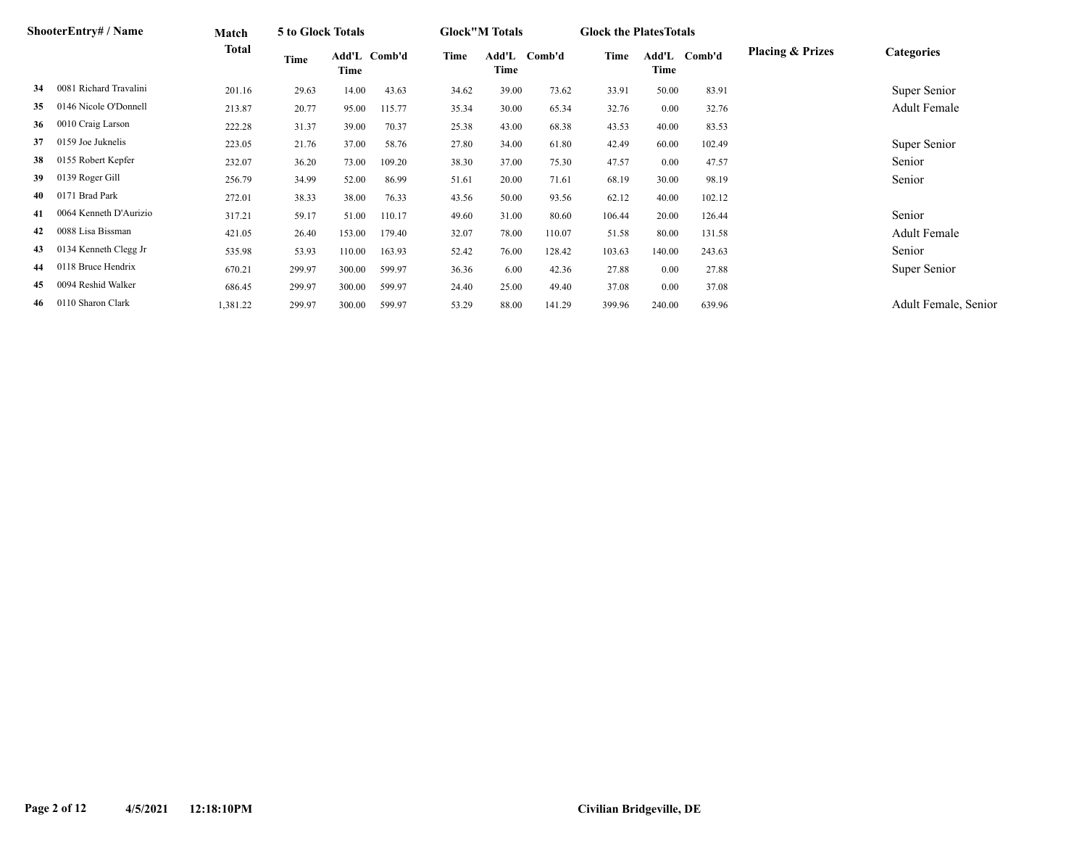|     | ShooterEntry# / Name   | Match    | 5 to Glock Totals |        |              |       | <b>Glock</b> "M Totals |        | <b>Glock the Plates Totals</b> |          |              |                             |                      |
|-----|------------------------|----------|-------------------|--------|--------------|-------|------------------------|--------|--------------------------------|----------|--------------|-----------------------------|----------------------|
|     |                        | Total    | Time              | Time   | Add'L Comb'd | Time  | Add'L<br>Time          | Comb'd | Time                           | Time     | Add'L Comb'd | <b>Placing &amp; Prizes</b> | <b>Categories</b>    |
| 34  | 0081 Richard Travalini | 201.16   | 29.63             | 14.00  | 43.63        | 34.62 | 39.00                  | 73.62  | 33.91                          | 50.00    | 83.91        |                             | Super Senior         |
| 35  | 0146 Nicole O'Donnell  | 213.87   | 20.77             | 95.00  | 115.77       | 35.34 | 30.00                  | 65.34  | 32.76                          | $0.00\,$ | 32.76        |                             | Adult Female         |
| 36  | 0010 Craig Larson      | 222.28   | 31.37             | 39.00  | 70.37        | 25.38 | 43.00                  | 68.38  | 43.53                          | 40.00    | 83.53        |                             |                      |
| 37  | 0159 Joe Juknelis      | 223.05   | 21.76             | 37.00  | 58.76        | 27.80 | 34.00                  | 61.80  | 42.49                          | 60.00    | 102.49       |                             | Super Senior         |
| 38  | 0155 Robert Kepfer     | 232.07   | 36.20             | 73.00  | 109.20       | 38.30 | 37.00                  | 75.30  | 47.57                          | $0.00\,$ | 47.57        |                             | Senior               |
| 39  | 0139 Roger Gill        | 256.79   | 34.99             | 52.00  | 86.99        | 51.61 | 20.00                  | 71.61  | 68.19                          | 30.00    | 98.19        |                             | Senior               |
|     | 0171 Brad Park         | 272.01   | 38.33             | 38.00  | 76.33        | 43.56 | 50.00                  | 93.56  | 62.12                          | 40.00    | 102.12       |                             |                      |
| 41  | 0064 Kenneth D'Aurizio | 317.21   | 59.17             | 51.00  | 110.17       | 49.60 | 31.00                  | 80.60  | 106.44                         | 20.00    | 126.44       |                             | Senior               |
| 42  | 0088 Lisa Bissman      | 421.05   | 26.40             | 153.00 | 179.40       | 32.07 | 78.00                  | 110.07 | 51.58                          | 80.00    | 131.58       |                             | Adult Female         |
| 43  | 0134 Kenneth Clegg Jr  | 535.98   | 53.93             | 110.00 | 163.93       | 52.42 | 76.00                  | 128.42 | 103.63                         | 140.00   | 243.63       |                             | Senior               |
| 44  | 0118 Bruce Hendrix     | 670.21   | 299.97            | 300.00 | 599.97       | 36.36 | 6.00                   | 42.36  | 27.88                          | 0.00     | 27.88        |                             | Super Senior         |
| 45  | 0094 Reshid Walker     | 686.45   | 299.97            | 300.00 | 599.97       | 24.40 | 25.00                  | 49.40  | 37.08                          | 0.00     | 37.08        |                             |                      |
| -46 | 0110 Sharon Clark      | 1,381.22 | 299.97            | 300.00 | 599.97       | 53.29 | 88.00                  | 141.29 | 399.96                         | 240.00   | 639.96       |                             | Adult Female, Senior |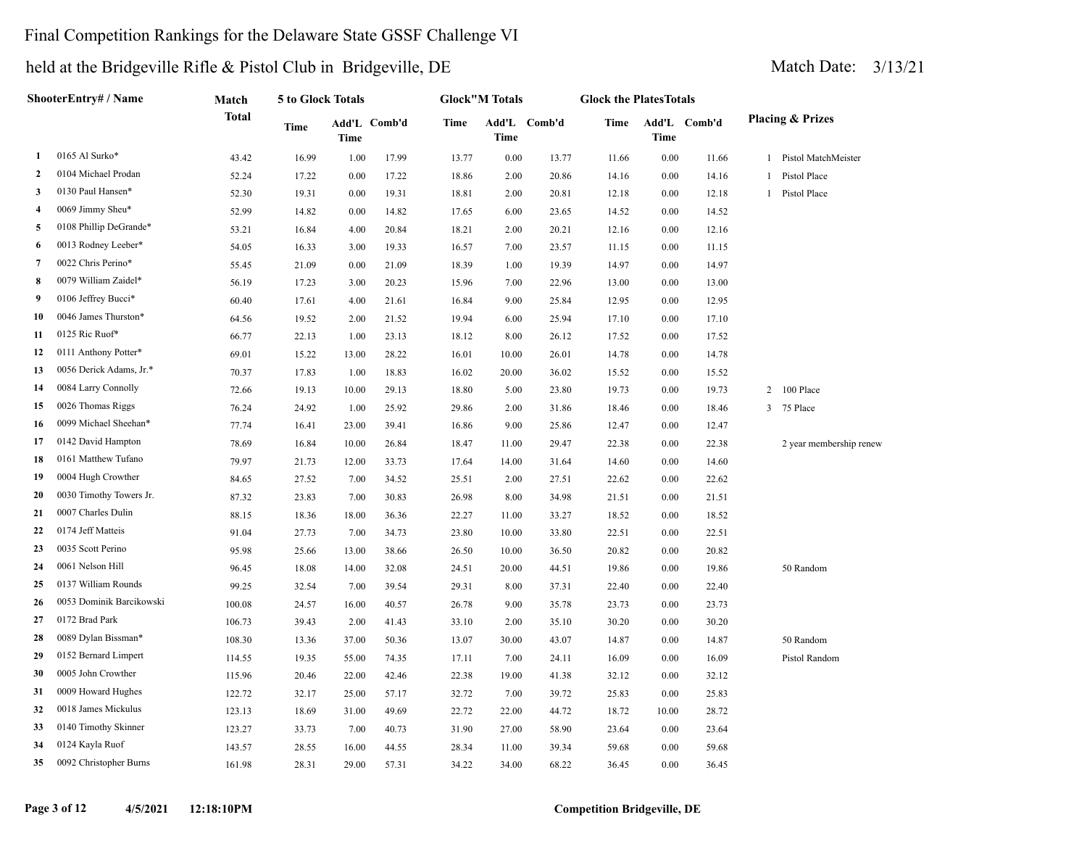### Final Competition Rankings for the Delaware State GSSF Challenge VI

|                     | ShooterEntry# / Name     | Match        | 5 to Glock Totals |             |              |       | <b>Glock</b> "M Totals |              | <b>Glock the PlatesTotals</b> |          |              |                             |
|---------------------|--------------------------|--------------|-------------------|-------------|--------------|-------|------------------------|--------------|-------------------------------|----------|--------------|-----------------------------|
|                     |                          | <b>Total</b> | Time              | <b>Time</b> | Add'L Comb'd | Time  | <b>Time</b>            | Add'L Comb'd | Time                          | Time     | Add'L Comb'd | <b>Placing &amp; Prizes</b> |
| 1                   | 0165 Al Surko*           | 43.42        | 16.99             | 1.00        | 17.99        | 13.77 | 0.00                   | 13.77        | 11.66                         | 0.00     | 11.66        | 1 Pistol MatchMeister       |
| $\overline{2}$      | 0104 Michael Prodan      | 52.24        | 17.22             | 0.00        | 17.22        | 18.86 | 2.00                   | 20.86        | 14.16                         | 0.00     | 14.16        | 1 Pistol Place              |
| 3                   | 0130 Paul Hansen*        | 52.30        | 19.31             | 0.00        | 19.31        | 18.81 | 2.00                   | 20.81        | 12.18                         | 0.00     | 12.18        | 1 Pistol Place              |
| $\overline{\bf{4}}$ | 0069 Jimmy Sheu*         | 52.99        | 14.82             | 0.00        | 14.82        | 17.65 | 6.00                   | 23.65        | 14.52                         | 0.00     | 14.52        |                             |
| 5                   | 0108 Phillip DeGrande*   | 53.21        | 16.84             | 4.00        | 20.84        | 18.21 | 2.00                   | 20.21        | 12.16                         | 0.00     | 12.16        |                             |
| 6                   | 0013 Rodney Leeber*      | 54.05        | 16.33             | 3.00        | 19.33        | 16.57 | 7.00                   | 23.57        | 11.15                         | 0.00     | 11.15        |                             |
| 7                   | 0022 Chris Perino*       | 55.45        | 21.09             | 0.00        | 21.09        | 18.39 | 1.00                   | 19.39        | 14.97                         | 0.00     | 14.97        |                             |
| 8                   | 0079 William Zaidel*     | 56.19        | 17.23             | 3.00        | 20.23        | 15.96 | 7.00                   | 22.96        | 13.00                         | 0.00     | 13.00        |                             |
| 9                   | 0106 Jeffrey Bucci*      | 60.40        | 17.61             | 4.00        | 21.61        | 16.84 | 9.00                   | 25.84        | 12.95                         | 0.00     | 12.95        |                             |
| 10                  | 0046 James Thurston*     | 64.56        | 19.52             | 2.00        | 21.52        | 19.94 | 6.00                   | 25.94        | 17.10                         | 0.00     | 17.10        |                             |
| 11                  | 0125 Ric Ruof*           | 66.77        | 22.13             | 1.00        | 23.13        | 18.12 | 8.00                   | 26.12        | 17.52                         | 0.00     | 17.52        |                             |
| 12                  | 0111 Anthony Potter*     | 69.01        | 15.22             | 13.00       | 28.22        | 16.01 | 10.00                  | 26.01        | 14.78                         | 0.00     | 14.78        |                             |
| 13                  | 0056 Derick Adams, Jr.*  | 70.37        | 17.83             | 1.00        | 18.83        | 16.02 | 20.00                  | 36.02        | 15.52                         | 0.00     | 15.52        |                             |
| 14                  | 0084 Larry Connolly      | 72.66        | 19.13             | 10.00       | 29.13        | 18.80 | 5.00                   | 23.80        | 19.73                         | 0.00     | 19.73        | 100 Place<br>2              |
| 15                  | 0026 Thomas Riggs        | 76.24        | 24.92             | 1.00        | 25.92        | 29.86 | 2.00                   | 31.86        | 18.46                         | 0.00     | 18.46        | 3 75 Place                  |
| 16                  | 0099 Michael Sheehan*    | 77.74        | 16.41             | 23.00       | 39.41        | 16.86 | 9.00                   | 25.86        | 12.47                         | 0.00     | 12.47        |                             |
| 17                  | 0142 David Hampton       | 78.69        | 16.84             | 10.00       | 26.84        | 18.47 | 11.00                  | 29.47        | 22.38                         | 0.00     | 22.38        | 2 year membership renew     |
| 18                  | 0161 Matthew Tufano      | 79.97        | 21.73             | 12.00       | 33.73        | 17.64 | 14.00                  | 31.64        | 14.60                         | 0.00     | 14.60        |                             |
| 19                  | 0004 Hugh Crowther       | 84.65        | 27.52             | 7.00        | 34.52        | 25.51 | 2.00                   | 27.51        | 22.62                         | 0.00     | 22.62        |                             |
| 20                  | 0030 Timothy Towers Jr.  | 87.32        | 23.83             | 7.00        | 30.83        | 26.98 | 8.00                   | 34.98        | 21.51                         | 0.00     | 21.51        |                             |
| 21                  | 0007 Charles Dulin       | 88.15        | 18.36             | 18.00       | 36.36        | 22.27 | 11.00                  | 33.27        | 18.52                         | 0.00     | 18.52        |                             |
| 22                  | 0174 Jeff Matteis        | 91.04        | 27.73             | 7.00        | 34.73        | 23.80 | 10.00                  | 33.80        | 22.51                         | 0.00     | 22.51        |                             |
| 23                  | 0035 Scott Perino        | 95.98        | 25.66             | 13.00       | 38.66        | 26.50 | 10.00                  | 36.50        | 20.82                         | 0.00     | 20.82        |                             |
| 24                  | 0061 Nelson Hill         | 96.45        | 18.08             | 14.00       | 32.08        | 24.51 | 20.00                  | 44.51        | 19.86                         | 0.00     | 19.86        | 50 Random                   |
| 25                  | 0137 William Rounds      | 99.25        | 32.54             | 7.00        | 39.54        | 29.31 | 8.00                   | 37.31        | 22.40                         | 0.00     | 22.40        |                             |
| 26                  | 0053 Dominik Barcikowski | 100.08       | 24.57             | 16.00       | 40.57        | 26.78 | 9.00                   | 35.78        | 23.73                         | 0.00     | 23.73        |                             |
| 27                  | 0172 Brad Park           | 106.73       | 39.43             | 2.00        | 41.43        | 33.10 | 2.00                   | 35.10        | 30.20                         | $0.00\,$ | 30.20        |                             |
| 28                  | 0089 Dylan Bissman*      | 108.30       | 13.36             | 37.00       | 50.36        | 13.07 | 30.00                  | 43.07        | 14.87                         | 0.00     | 14.87        | 50 Random                   |
| 29                  | 0152 Bernard Limpert     | 114.55       | 19.35             | 55.00       | 74.35        | 17.11 | 7.00                   | 24.11        | 16.09                         | 0.00     | 16.09        | Pistol Random               |
| 30                  | 0005 John Crowther       | 115.96       | 20.46             | 22.00       | 42.46        | 22.38 | 19.00                  | 41.38        | 32.12                         | 0.00     | 32.12        |                             |
| 31                  | 0009 Howard Hughes       | 122.72       | 32.17             | 25.00       | 57.17        | 32.72 | 7.00                   | 39.72        | 25.83                         | 0.00     | 25.83        |                             |
| 32                  | 0018 James Mickulus      | 123.13       | 18.69             | 31.00       | 49.69        | 22.72 | 22.00                  | 44.72        | 18.72                         | 10.00    | 28.72        |                             |
| 33                  | 0140 Timothy Skinner     | 123.27       | 33.73             | 7.00        | 40.73        | 31.90 | 27.00                  | 58.90        | 23.64                         | 0.00     | 23.64        |                             |
| 34                  | 0124 Kayla Ruof          | 143.57       | 28.55             | 16.00       | 44.55        | 28.34 | 11.00                  | 39.34        | 59.68                         | 0.00     | 59.68        |                             |
| 35                  | 0092 Christopher Burns   | 161.98       | 28.31             | 29.00       | 57.31        | 34.22 | 34.00                  | 68.22        | 36.45                         | 0.00     | 36.45        |                             |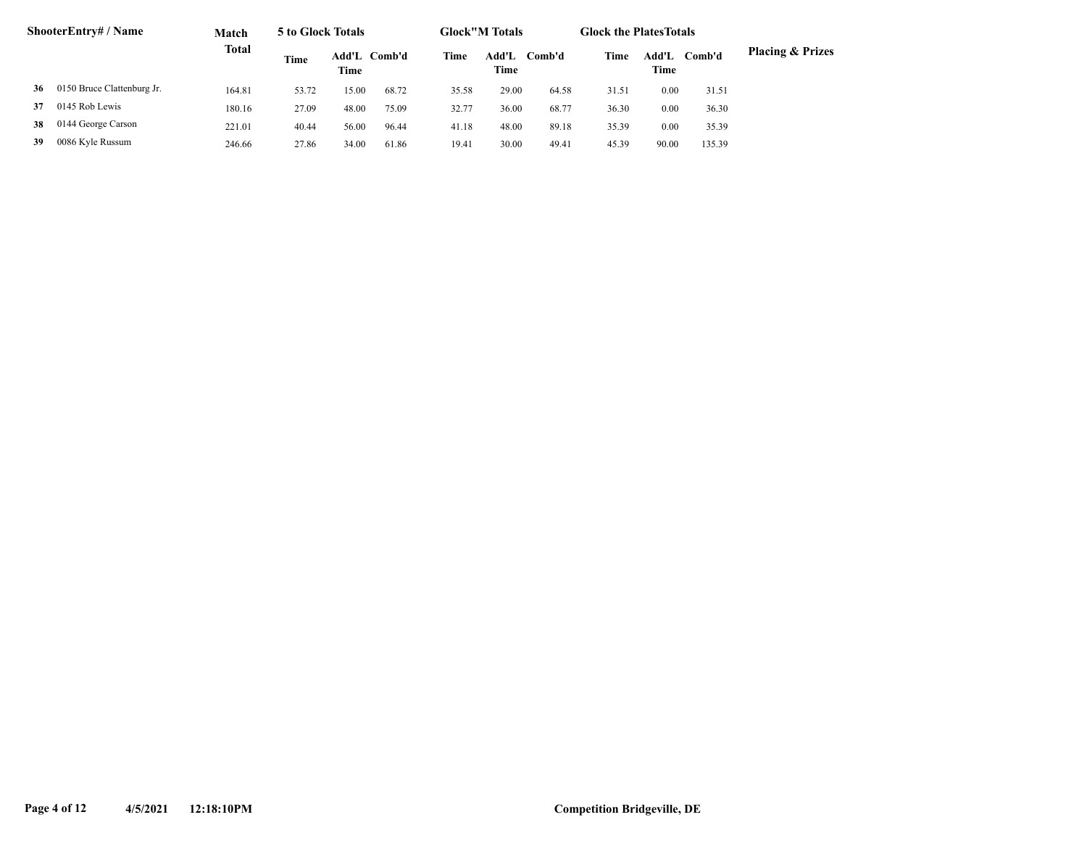|    | <b>ShooterEntry#/Name</b>  | Match        | 5 to Glock Totals |       |              |       | <b>Glock</b> "M Totals |        | <b>Glock the Plates Totals</b> |               |        |                             |
|----|----------------------------|--------------|-------------------|-------|--------------|-------|------------------------|--------|--------------------------------|---------------|--------|-----------------------------|
|    |                            | <b>Total</b> | Time              | Time  | Add'L Comb'd | Time  | Add'L<br>Time          | Comb'd | Time                           | Add'L<br>Time | Comb'd | <b>Placing &amp; Prizes</b> |
| 36 | 0150 Bruce Clattenburg Jr. | 164.81       | 53.72             | 15.00 | 68.72        | 35.58 | 29.00                  | 64.58  | 31.51                          | 0.00          | 31.51  |                             |
| 37 | 0145 Rob Lewis             | 180.16       | 27.09             | 48.00 | 75.09        | 32.77 | 36.00                  | 68.77  | 36.30                          | 0.00          | 36.30  |                             |
| 38 | 0144 George Carson         | 221.01       | 40.44             | 56.00 | 96.44        | 41.18 | 48.00                  | 89.18  | 35.39                          | 0.00          | 35.39  |                             |
| 39 | 0086 Kyle Russum           | 246.66       | 27.86             | 34.00 | 61.86        | 19.41 | 30.00                  | 49.41  | 45.39                          | 90.00         | 135.39 |                             |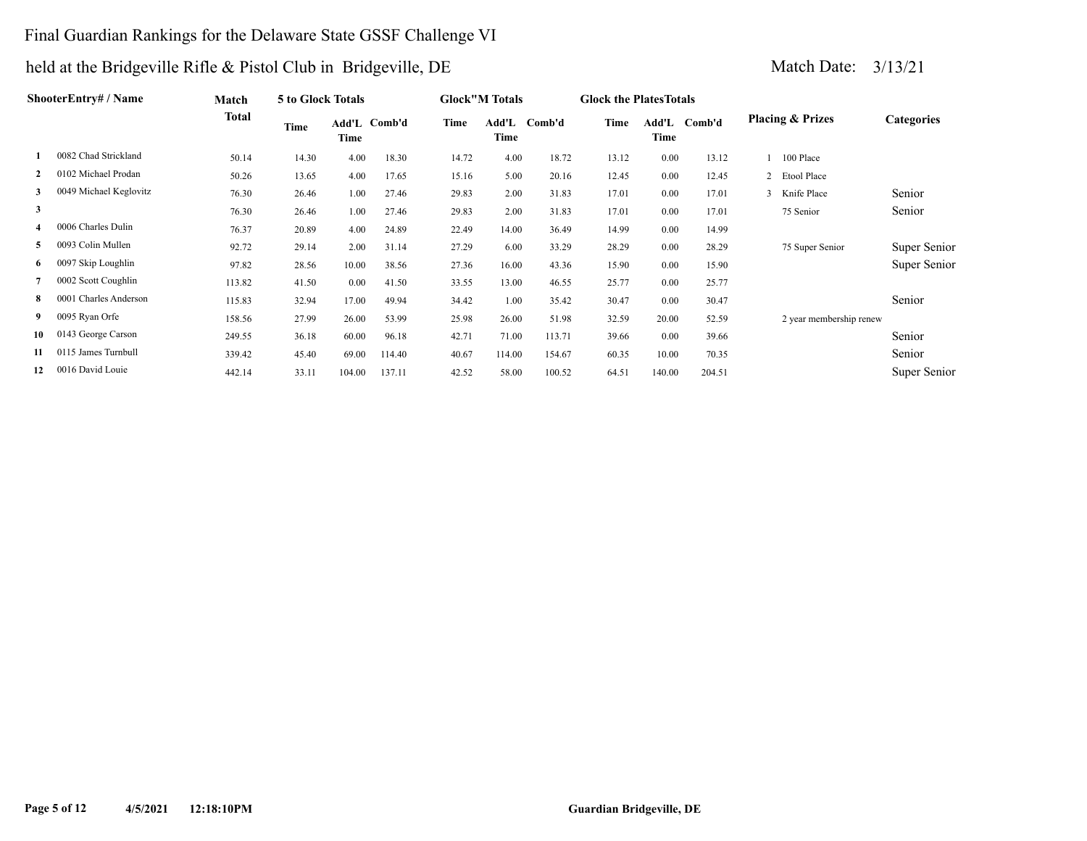### Final Guardian Rankings for the Delaware State GSSF Challenge VI

|              | ShooterEntry# / Name   | Match        | <b>5 to Glock Totals</b> |        |              |       | <b>Glock</b> "M Totals |        | <b>Glock the Plates Totals</b> |        |              |                             |                   |
|--------------|------------------------|--------------|--------------------------|--------|--------------|-------|------------------------|--------|--------------------------------|--------|--------------|-----------------------------|-------------------|
|              |                        | <b>Total</b> | Time                     | Time   | Add'L Comb'd | Time  | Add'L<br>Time          | Comb'd | Time                           | Time   | Add'L Comb'd | <b>Placing &amp; Prizes</b> | <b>Categories</b> |
|              | 0082 Chad Strickland   | 50.14        | 14.30                    | 4.00   | 18.30        | 14.72 | 4.00                   | 18.72  | 13.12                          | 0.00   | 13.12        | 100 Place                   |                   |
| $\mathbf{2}$ | 0102 Michael Prodan    | 50.26        | 13.65                    | 4.00   | 17.65        | 15.16 | 5.00                   | 20.16  | 12.45                          | 0.00   | 12.45        | 2 Etool Place               |                   |
| 3            | 0049 Michael Keglovitz | 76.30        | 26.46                    | 1.00   | 27.46        | 29.83 | 2.00                   | 31.83  | 17.01                          | 0.00   | 17.01        | 3 Knife Place               | Senior            |
| 3            |                        | 76.30        | 26.46                    | 1.00   | 27.46        | 29.83 | 2.00                   | 31.83  | 17.01                          | 0.00   | 17.01        | 75 Senior                   | Senior            |
|              | 0006 Charles Dulin     | 76.37        | 20.89                    | 4.00   | 24.89        | 22.49 | 14.00                  | 36.49  | 14.99                          | 0.00   | 14.99        |                             |                   |
| 5            | 0093 Colin Mullen      | 92.72        | 29.14                    | 2.00   | 31.14        | 27.29 | 6.00                   | 33.29  | 28.29                          | 0.00   | 28.29        | 75 Super Senior             | Super Senior      |
| 6.           | 0097 Skip Loughlin     | 97.82        | 28.56                    | 10.00  | 38.56        | 27.36 | 16.00                  | 43.36  | 15.90                          | 0.00   | 15.90        |                             | Super Senior      |
|              | 0002 Scott Coughlin    | 113.82       | 41.50                    | 0.00   | 41.50        | 33.55 | 13.00                  | 46.55  | 25.77                          | 0.00   | 25.77        |                             |                   |
| 8            | 0001 Charles Anderson  | 115.83       | 32.94                    | 17.00  | 49.94        | 34.42 | 1.00                   | 35.42  | 30.47                          | 0.00   | 30.47        |                             | Senior            |
| 9            | 0095 Ryan Orfe         | 158.56       | 27.99                    | 26.00  | 53.99        | 25.98 | 26.00                  | 51.98  | 32.59                          | 20.00  | 52.59        | 2 year membership renew     |                   |
| 10           | 0143 George Carson     | 249.55       | 36.18                    | 60.00  | 96.18        | 42.71 | 71.00                  | 113.71 | 39.66                          | 0.00   | 39.66        |                             | Senior            |
| 11           | 0115 James Turnbull    | 339.42       | 45.40                    | 69.00  | 114.40       | 40.67 | 114.00                 | 154.67 | 60.35                          | 10.00  | 70.35        |                             | Senior            |
| 12           | 0016 David Louie       | 442.14       | 33.11                    | 104.00 | 137.11       | 42.52 | 58.00                  | 100.52 | 64.51                          | 140.00 | 204.51       |                             | Super Senior      |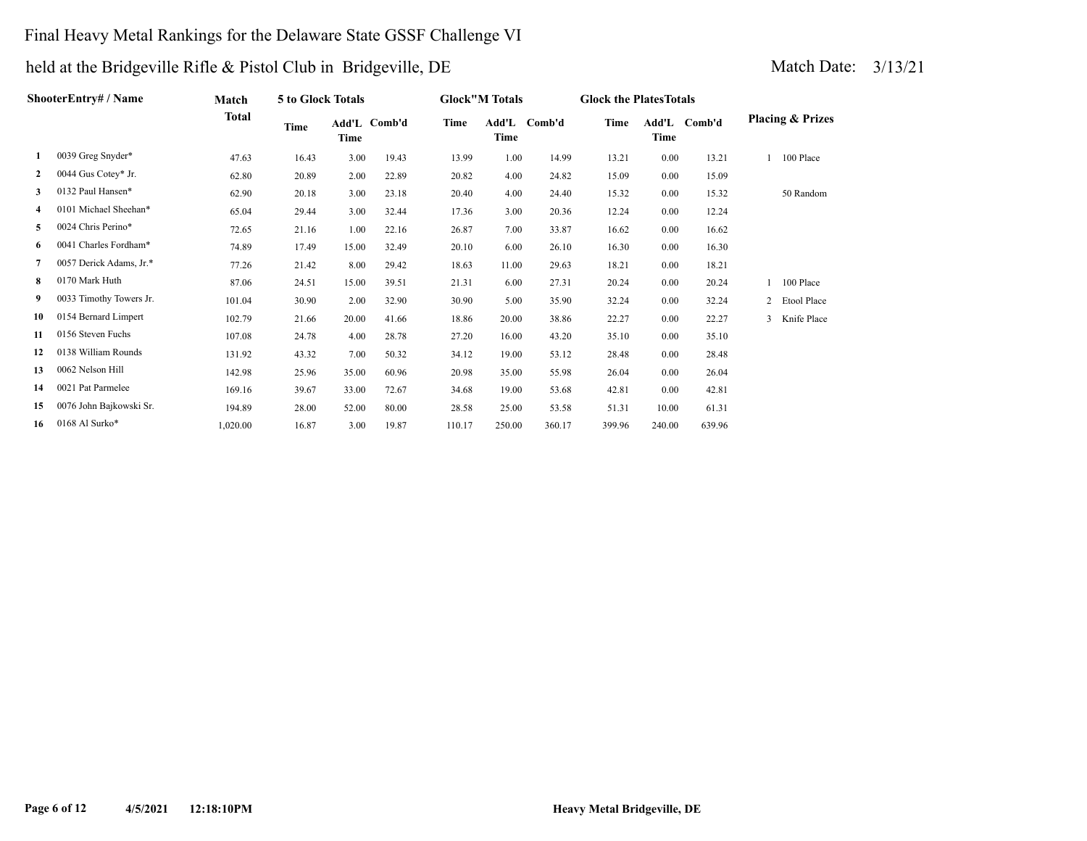### Final Heavy Metal Rankings for the Delaware State GSSF Challenge VI

|              | <b>ShooterEntry# / Name</b> | Match    | 5 to Glock Totals |       |              |        | <b>Glock"M Totals</b> |              | <b>Glock the Plates Totals</b> |        |              |                             |
|--------------|-----------------------------|----------|-------------------|-------|--------------|--------|-----------------------|--------------|--------------------------------|--------|--------------|-----------------------------|
|              |                             | Total    | Time              | Time  | Add'L Comb'd | Time   | Time                  | Add'L Comb'd | Time                           | Time   | Add'L Comb'd | <b>Placing &amp; Prizes</b> |
| 1            | 0039 Greg Snyder*           | 47.63    | 16.43             | 3.00  | 19.43        | 13.99  | 1.00                  | 14.99        | 13.21                          | 0.00   | 13.21        | 100 Place                   |
| $\mathbf{2}$ | 0044 Gus Cotey* Jr.         | 62.80    | 20.89             | 2.00  | 22.89        | 20.82  | 4.00                  | 24.82        | 15.09                          | 0.00   | 15.09        |                             |
| 3            | 0132 Paul Hansen*           | 62.90    | 20.18             | 3.00  | 23.18        | 20.40  | 4.00                  | 24.40        | 15.32                          | 0.00   | 15.32        | 50 Random                   |
| 4            | 0101 Michael Sheehan*       | 65.04    | 29.44             | 3.00  | 32.44        | 17.36  | 3.00                  | 20.36        | 12.24                          | 0.00   | 12.24        |                             |
| 5            | 0024 Chris Perino*          | 72.65    | 21.16             | 1.00  | 22.16        | 26.87  | 7.00                  | 33.87        | 16.62                          | 0.00   | 16.62        |                             |
| 6            | 0041 Charles Fordham*       | 74.89    | 17.49             | 15.00 | 32.49        | 20.10  | 6.00                  | 26.10        | 16.30                          | 0.00   | 16.30        |                             |
| 7            | 0057 Derick Adams, Jr.*     | 77.26    | 21.42             | 8.00  | 29.42        | 18.63  | 11.00                 | 29.63        | 18.21                          | 0.00   | 18.21        |                             |
| 8            | 0170 Mark Huth              | 87.06    | 24.51             | 15.00 | 39.51        | 21.31  | 6.00                  | 27.31        | 20.24                          | 0.00   | 20.24        | 100 Place                   |
| 9            | 0033 Timothy Towers Jr.     | 101.04   | 30.90             | 2.00  | 32.90        | 30.90  | 5.00                  | 35.90        | 32.24                          | 0.00   | 32.24        | 2 Etool Place               |
| 10           | 0154 Bernard Limpert        | 102.79   | 21.66             | 20.00 | 41.66        | 18.86  | 20.00                 | 38.86        | 22.27                          | 0.00   | 22.27        | Knife Place<br>3            |
| 11           | 0156 Steven Fuchs           | 107.08   | 24.78             | 4.00  | 28.78        | 27.20  | 16.00                 | 43.20        | 35.10                          | 0.00   | 35.10        |                             |
| 12           | 0138 William Rounds         | 131.92   | 43.32             | 7.00  | 50.32        | 34.12  | 19.00                 | 53.12        | 28.48                          | 0.00   | 28.48        |                             |
| 13           | 0062 Nelson Hill            | 142.98   | 25.96             | 35.00 | 60.96        | 20.98  | 35.00                 | 55.98        | 26.04                          | 0.00   | 26.04        |                             |
| 14           | 0021 Pat Parmelee           | 169.16   | 39.67             | 33.00 | 72.67        | 34.68  | 19.00                 | 53.68        | 42.81                          | 0.00   | 42.81        |                             |
| 15           | 0076 John Bajkowski Sr.     | 194.89   | 28.00             | 52.00 | 80.00        | 28.58  | 25.00                 | 53.58        | 51.31                          | 10.00  | 61.31        |                             |
| 16           | 0168 Al Surko*              | 1.020.00 | 16.87             | 3.00  | 19.87        | 110.17 | 250.00                | 360.17       | 399.96                         | 240.00 | 639.96       |                             |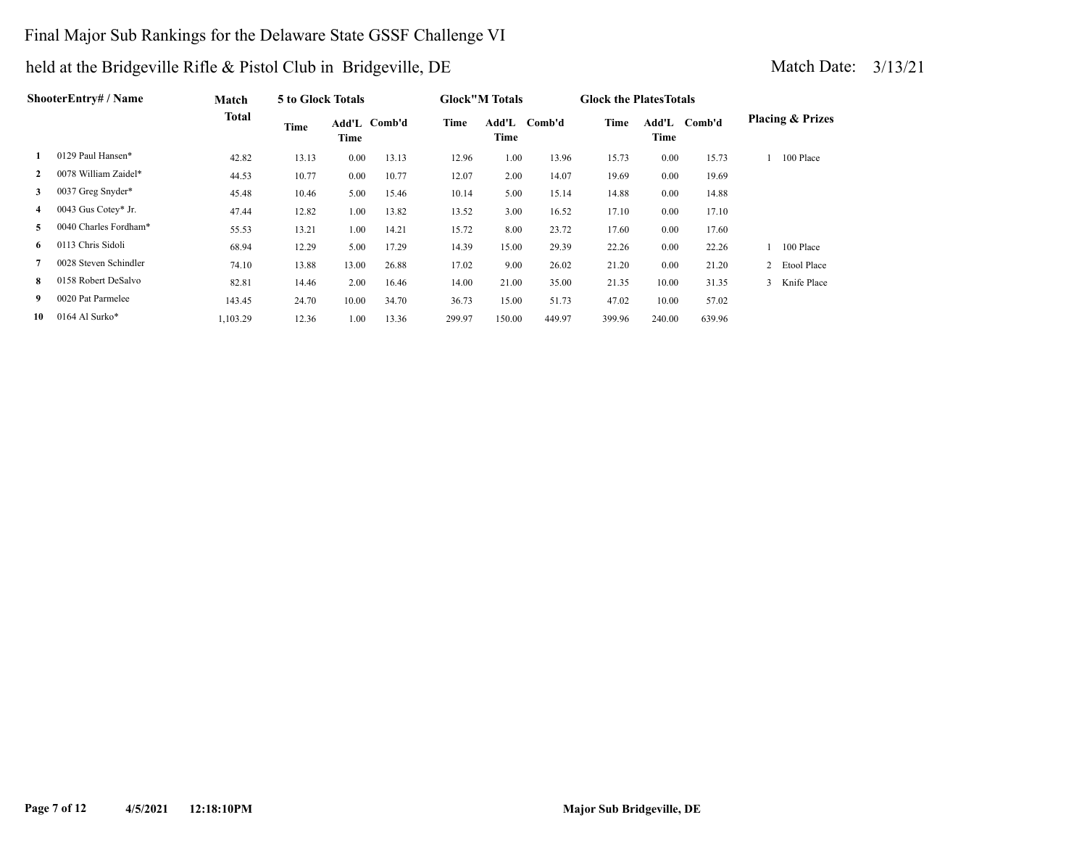### Final Major Sub Rankings for the Delaware State GSSF Challenge VI

|              | ShooterEntrv# / Name  | <b>Match</b> | 5 to Glock Totals |               |        |        | <b>Glock</b> "M Totals |        | <b>Glock the Plates Totals</b> |               |        |                             |
|--------------|-----------------------|--------------|-------------------|---------------|--------|--------|------------------------|--------|--------------------------------|---------------|--------|-----------------------------|
|              |                       | <b>Total</b> | Time              | Add'L<br>Time | Comb'd | Time   | Add'L<br>Time          | Comb'd | Time                           | Add'L<br>Time | Comb'd | <b>Placing &amp; Prizes</b> |
|              | 0129 Paul Hansen*     | 42.82        | 13.13             | 0.00          | 13.13  | 12.96  | 1.00                   | 13.96  | 15.73                          | 0.00          | 15.73  | 100 Place                   |
| $\mathbf{2}$ | 0078 William Zaidel*  | 44.53        | 10.77             | 0.00          | 10.77  | 12.07  | 2.00                   | 14.07  | 19.69                          | 0.00          | 19.69  |                             |
| 3            | 0037 Greg Snyder*     | 45.48        | 10.46             | 5.00          | 15.46  | 10.14  | 5.00                   | 15.14  | 14.88                          | 0.00          | 14.88  |                             |
| 4            | 0043 Gus Cotey* Jr.   | 47.44        | 12.82             | 1.00          | 13.82  | 13.52  | 3.00                   | 16.52  | 17.10                          | 0.00          | 17.10  |                             |
| 5            | 0040 Charles Fordham* | 55.53        | 13.21             | 1.00          | 14.21  | 15.72  | 8.00                   | 23.72  | 17.60                          | 0.00          | 17.60  |                             |
| 6.           | 0113 Chris Sidoli     | 68.94        | 12.29             | 5.00          | 17.29  | 14.39  | 15.00                  | 29.39  | 22.26                          | 0.00          | 22.26  | 100 Place                   |
|              | 0028 Steven Schindler | 74.10        | 13.88             | 13.00         | 26.88  | 17.02  | 9.00                   | 26.02  | 21.20                          | 0.00          | 21.20  | 2 Etool Place               |
| 8.           | 0158 Robert DeSalvo   | 82.81        | 14.46             | 2.00          | 16.46  | 14.00  | 21.00                  | 35.00  | 21.35                          | 10.00         | 31.35  | 3 Knife Place               |
| 9            | 0020 Pat Parmelee     | 143.45       | 24.70             | 10.00         | 34.70  | 36.73  | 15.00                  | 51.73  | 47.02                          | 10.00         | 57.02  |                             |
| 10           | 0164 Al Surko*        | 1.103.29     | 12.36             | 1.00          | 13.36  | 299.97 | 150.00                 | 449.97 | 399.96                         | 240.00        | 639.96 |                             |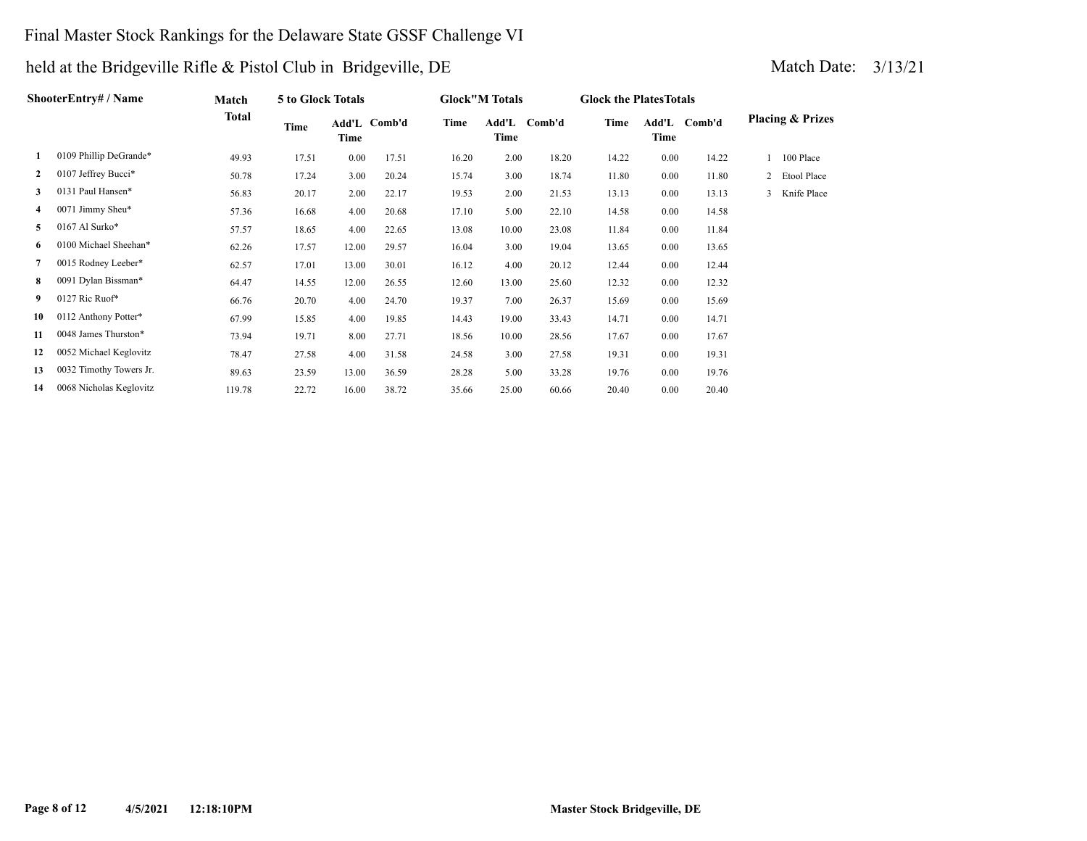### Final Master Stock Rankings for the Delaware State GSSF Challenge VI

|              | ShooterEntry# / Name    | Match  | 5 to Glock Totals |       |              |       | <b>Glock</b> "M Totals |              | <b>Glock the Plates Totals</b> |               |        |   |                             |
|--------------|-------------------------|--------|-------------------|-------|--------------|-------|------------------------|--------------|--------------------------------|---------------|--------|---|-----------------------------|
|              |                         | Total  | Time              | Time  | Add'L Comb'd | Time  | Time                   | Add'L Comb'd | Time                           | Add'L<br>Time | Comb'd |   | <b>Placing &amp; Prizes</b> |
| 1            | 0109 Phillip DeGrande*  | 49.93  | 17.51             | 0.00  | 17.51        | 16.20 | 2.00                   | 18.20        | 14.22                          | 0.00          | 14.22  |   | 100 Place                   |
| $\mathbf{2}$ | 0107 Jeffrey Bucci*     | 50.78  | 17.24             | 3.00  | 20.24        | 15.74 | 3.00                   | 18.74        | 11.80                          | 0.00          | 11.80  |   | 2 Etool Place               |
| 3            | 0131 Paul Hansen*       | 56.83  | 20.17             | 2.00  | 22.17        | 19.53 | 2.00                   | 21.53        | 13.13                          | 0.00          | 13.13  | 3 | Knife Place                 |
| 4            | 0071 Jimmy Sheu*        | 57.36  | 16.68             | 4.00  | 20.68        | 17.10 | 5.00                   | 22.10        | 14.58                          | 0.00          | 14.58  |   |                             |
| 5            | 0167 Al Surko*          | 57.57  | 18.65             | 4.00  | 22.65        | 13.08 | 10.00                  | 23.08        | 11.84                          | 0.00          | 11.84  |   |                             |
| 6            | 0100 Michael Sheehan*   | 62.26  | 17.57             | 12.00 | 29.57        | 16.04 | 3.00                   | 19.04        | 13.65                          | 0.00          | 13.65  |   |                             |
| 7            | 0015 Rodney Leeber*     | 62.57  | 17.01             | 13.00 | 30.01        | 16.12 | 4.00                   | 20.12        | 12.44                          | 0.00          | 12.44  |   |                             |
| 8            | 0091 Dylan Bissman*     | 64.47  | 14.55             | 12.00 | 26.55        | 12.60 | 13.00                  | 25.60        | 12.32                          | 0.00          | 12.32  |   |                             |
| 9.           | 0127 Ric Ruof*          | 66.76  | 20.70             | 4.00  | 24.70        | 19.37 | 7.00                   | 26.37        | 15.69                          | 0.00          | 15.69  |   |                             |
| 10           | 0112 Anthony Potter*    | 67.99  | 15.85             | 4.00  | 19.85        | 14.43 | 19.00                  | 33.43        | 14.71                          | 0.00          | 14.71  |   |                             |
| 11           | 0048 James Thurston*    | 73.94  | 19.71             | 8.00  | 27.71        | 18.56 | 10.00                  | 28.56        | 17.67                          | 0.00          | 17.67  |   |                             |
| 12           | 0052 Michael Keglovitz  | 78.47  | 27.58             | 4.00  | 31.58        | 24.58 | 3.00                   | 27.58        | 19.31                          | 0.00          | 19.31  |   |                             |
| 13           | 0032 Timothy Towers Jr. | 89.63  | 23.59             | 13.00 | 36.59        | 28.28 | 5.00                   | 33.28        | 19.76                          | 0.00          | 19.76  |   |                             |
| 14           | 0068 Nicholas Keglovitz | 119.78 | 22.72             | 16.00 | 38.72        | 35.66 | 25.00                  | 60.66        | 20.40                          | 0.00          | 20.40  |   |                             |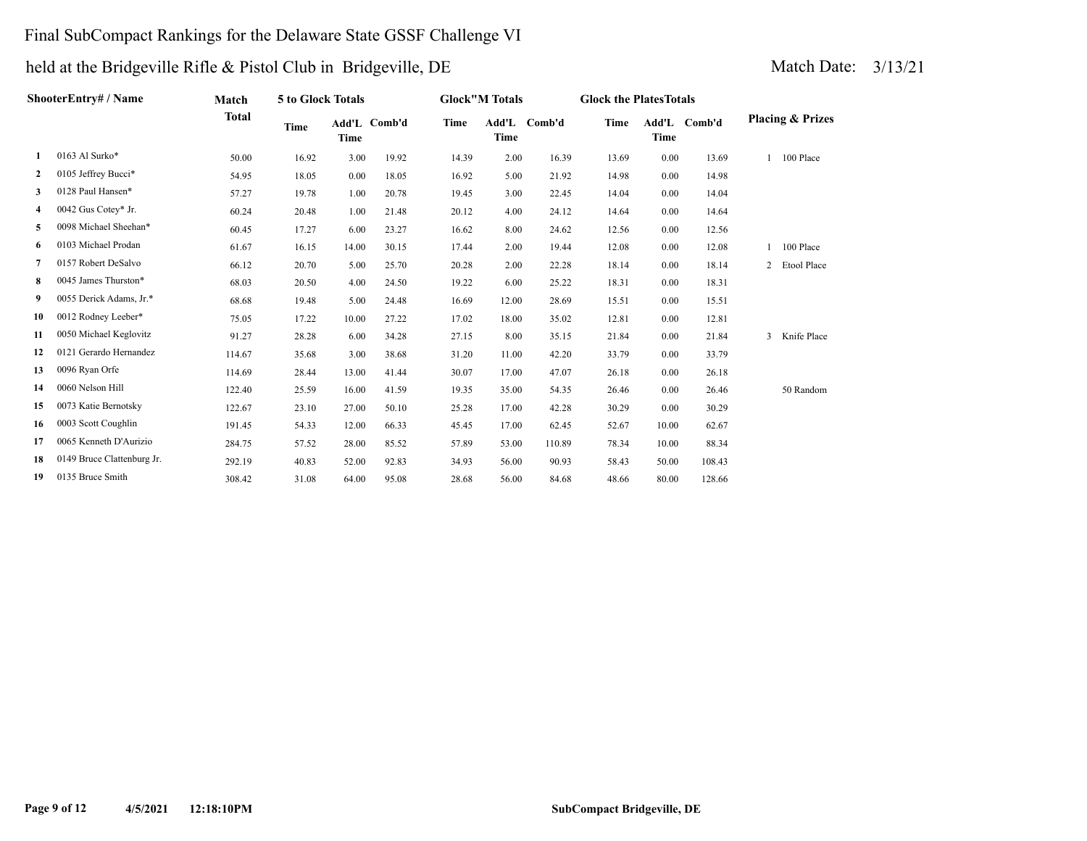#### Final SubCompact Rankings for the Delaware State GSSF Challenge VI

## held at the Bridgeville Rifle & Pistol Club in Bridgeville, DE Match Date: 3/13/21

**ShooterEntry# / Name**

| hooterEntry# / Name                                                                                     | Match | 5 to Glock Totals |       |              |       | <b>Glock</b> "M Totals |        | <b>Glock the Plates Totals</b> |      |              |                             |
|---------------------------------------------------------------------------------------------------------|-------|-------------------|-------|--------------|-------|------------------------|--------|--------------------------------|------|--------------|-----------------------------|
|                                                                                                         | Total | Time              | Time  | Add'L Comb'd | Time  | Add'L<br>Time          | Comb'd | Time                           | Time | Add'L Comb'd | <b>Placing &amp; Prizes</b> |
| $0163$ Al Surko*                                                                                        | 50.00 | 16.92             | 3.00  | 19.92        | 14.39 | 2.00                   | 16.39  | 13.69                          | 0.00 | 13.69        | 100 Place                   |
| 2 0105 Jeffrey Bucci*                                                                                   | 54.95 | 18.05             | 0.00  | 18.05        | 16.92 | 5.00                   | 21.92  | 14.98                          | 0.00 | 14.98        |                             |
| 0128 Paul Hansen*<br>3                                                                                  | 57.27 | 19.78             | 1.00  | 20.78        | 19.45 | 3.00                   | 22.45  | 14.04                          | 0.00 | 14.04        |                             |
| 4 0042 Gus Cotey* Jr.                                                                                   | 60.24 | 20.48             | 1.00  | 21.48        | 20.12 | 4.00                   | 24.12  | 14.64                          | 0.00 | 14.64        |                             |
| 0098 Michael Sheehan*<br>5                                                                              | 60.45 | 17.27             | 6.00  | 23.27        | 16.62 | 8.00                   | 24.62  | 12.56                          | 0.00 | 12.56        |                             |
| 0103 Michael Prodan<br>6                                                                                | 61.67 | 16.15             | 14.00 | 30.15        | 17.44 | 2.00                   | 19.44  | 12.08                          | 0.00 | 12.08        | 100 Place                   |
| 0157 Robert DeSalvo                                                                                     | 66.12 | 20.70             | 5.00  | 25.70        | 20.28 | 2.00                   | 22.28  | 18.14                          | 0.00 | 18.14        | 2 Etool Place               |
| 0045 James Thurston*<br>8                                                                               | 68.03 | 20.50             | 4.00  | 24.50        | 19.22 | 6.00                   | 25.22  | 18.31                          | 0.00 | 18.31        |                             |
| $\alpha$ $\alpha$ $\alpha$ $\alpha$ $\beta$ $\alpha$ $\beta$ $\alpha$ $\beta$ $\alpha$ $\beta$ $\alpha$ |       |                   |       |              |       |                        |        |                                |      |              |                             |

| 8  | 0045 James Thurston*       | 68.03  | 20.50 | 4.00  | 24.50 | 19.22 | 6.00  | 25.22  | 18.31 | 0.00  | 18.31  |                  |
|----|----------------------------|--------|-------|-------|-------|-------|-------|--------|-------|-------|--------|------------------|
| 9  | 0055 Derick Adams, Jr.*    | 68.68  | 19.48 | 5.00  | 24.48 | 16.69 | 12.00 | 28.69  | 15.51 | 0.00  | 15.51  |                  |
| 10 | 0012 Rodney Leeber*        | 75.05  | 17.22 | 10.00 | 27.22 | 17.02 | 18.00 | 35.02  | 12.81 | 0.00  | 12.81  |                  |
| 11 | 0050 Michael Keglovitz     | 91.27  | 28.28 | 6.00  | 34.28 | 27.15 | 8.00  | 35.15  | 21.84 | 0.00  | 21.84  | Knife Place<br>3 |
| 12 | 0121 Gerardo Hernandez     | 114.67 | 35.68 | 3.00  | 38.68 | 31.20 | 11.00 | 42.20  | 33.79 | 0.00  | 33.79  |                  |
| 13 | 0096 Ryan Orfe             | 114.69 | 28.44 | 13.00 | 41.44 | 30.07 | 17.00 | 47.07  | 26.18 | 0.00  | 26.18  |                  |
| 14 | 0060 Nelson Hill           | 122.40 | 25.59 | 16.00 | 41.59 | 19.35 | 35.00 | 54.35  | 26.46 | 0.00  | 26.46  | 50 Random        |
| 15 | 0073 Katie Bernotsky       | 122.67 | 23.10 | 27.00 | 50.10 | 25.28 | 17.00 | 42.28  | 30.29 | 0.00  | 30.29  |                  |
| 16 | 0003 Scott Coughlin        | 191.45 | 54.33 | 12.00 | 66.33 | 45.45 | 17.00 | 62.45  | 52.67 | 10.00 | 62.67  |                  |
| 17 | 0065 Kenneth D'Aurizio     | 284.75 | 57.52 | 28.00 | 85.52 | 57.89 | 53.00 | 110.89 | 78.34 | 10.00 | 88.34  |                  |
| 18 | 0149 Bruce Clattenburg Jr. | 292.19 | 40.83 | 52.00 | 92.83 | 34.93 | 56.00 | 90.93  | 58.43 | 50.00 | 108.43 |                  |
| 19 | 0135 Bruce Smith           | 308.42 | 31.08 | 64.00 | 95.08 | 28.68 | 56.00 | 84.68  | 48.66 | 80.00 | 128.66 |                  |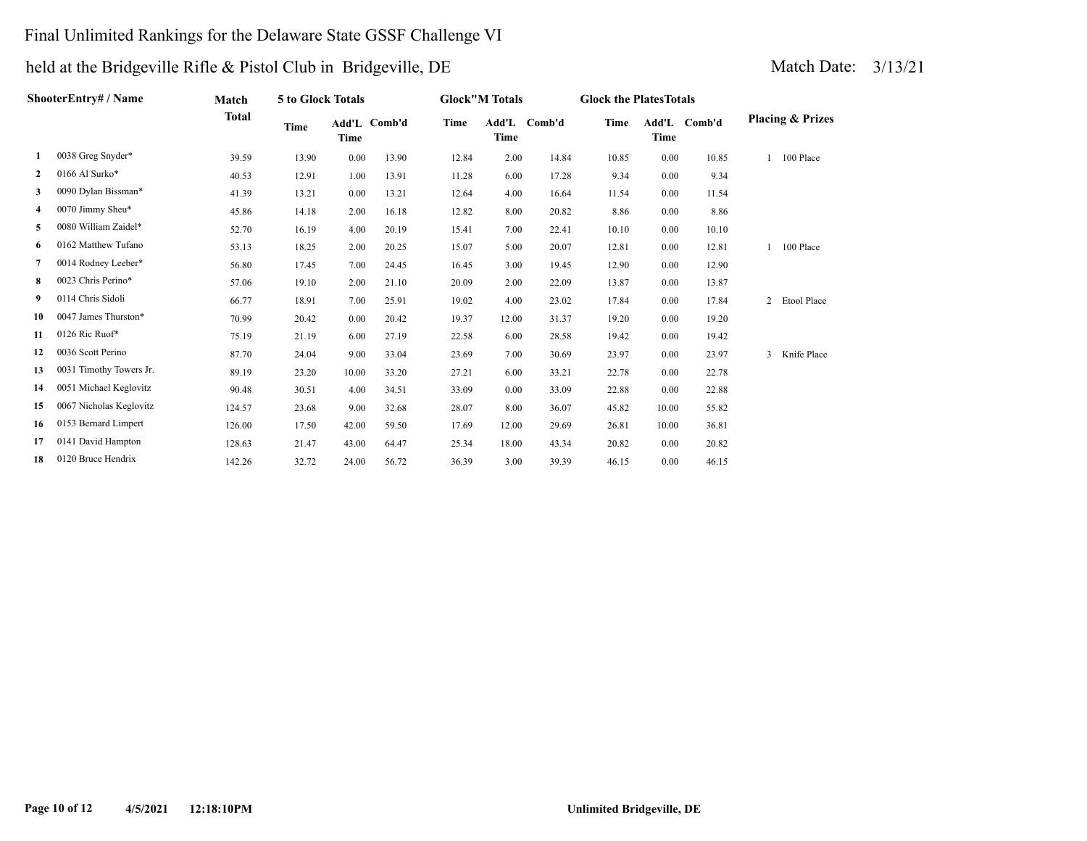### Final Unlimited Rankings for the Delaware State GSSF Challenge VI

| ShooterEntry# / Name |                         | Match        | 5 to Glock Totals |       |              |       | <b>Glock"M Totals</b> |              |       | <b>Glock the PlatesTotals</b> |              |                             |  |
|----------------------|-------------------------|--------------|-------------------|-------|--------------|-------|-----------------------|--------------|-------|-------------------------------|--------------|-----------------------------|--|
|                      |                         | <b>Total</b> | <b>Time</b>       | Time  | Add'L Comb'd | Time  | Time                  | Add'L Comb'd | Time  | Time                          | Add'L Comb'd | <b>Placing &amp; Prizes</b> |  |
| 1                    | 0038 Greg Snyder*       | 39.59        | 13.90             | 0.00  | 13.90        | 12.84 | 2.00                  | 14.84        | 10.85 | 0.00                          | 10.85        | 1 100 Place                 |  |
| $\mathbf{2}$         | 0166 Al Surko*          | 40.53        | 12.91             | 1.00  | 13.91        | 11.28 | 6.00                  | 17.28        | 9.34  | 0.00                          | 9.34         |                             |  |
| 3                    | 0090 Dylan Bissman*     | 41.39        | 13.21             | 0.00  | 13.21        | 12.64 | 4.00                  | 16.64        | 11.54 | 0.00                          | 11.54        |                             |  |
| 4                    | 0070 Jimmy Sheu*        | 45.86        | 14.18             | 2.00  | 16.18        | 12.82 | 8.00                  | 20.82        | 8.86  | 0.00                          | 8.86         |                             |  |
| 5                    | 0080 William Zaidel*    | 52.70        | 16.19             | 4.00  | 20.19        | 15.41 | 7.00                  | 22.41        | 10.10 | 0.00                          | 10.10        |                             |  |
| 6                    | 0162 Matthew Tufano     | 53.13        | 18.25             | 2.00  | 20.25        | 15.07 | 5.00                  | 20.07        | 12.81 | 0.00                          | 12.81        | 100 Place                   |  |
| 7                    | 0014 Rodney Leeber*     | 56.80        | 17.45             | 7.00  | 24.45        | 16.45 | 3.00                  | 19.45        | 12.90 | 0.00                          | 12.90        |                             |  |
| 8                    | 0023 Chris Perino*      | 57.06        | 19.10             | 2.00  | 21.10        | 20.09 | 2.00                  | 22.09        | 13.87 | 0.00                          | 13.87        |                             |  |
| 9                    | 0114 Chris Sidoli       | 66.77        | 18.91             | 7.00  | 25.91        | 19.02 | 4.00                  | 23.02        | 17.84 | 0.00                          | 17.84        | 2 Etool Place               |  |
| 10                   | 0047 James Thurston*    | 70.99        | 20.42             | 0.00  | 20.42        | 19.37 | 12.00                 | 31.37        | 19.20 | 0.00                          | 19.20        |                             |  |
| 11                   | 0126 Ric Ruof*          | 75.19        | 21.19             | 6.00  | 27.19        | 22.58 | 6.00                  | 28.58        | 19.42 | 0.00                          | 19.42        |                             |  |
| 12                   | 0036 Scott Perino       | 87.70        | 24.04             | 9.00  | 33.04        | 23.69 | 7.00                  | 30.69        | 23.97 | 0.00                          | 23.97        | Knife Place<br>3            |  |
| 13                   | 0031 Timothy Towers Jr. | 89.19        | 23.20             | 10.00 | 33.20        | 27.21 | 6.00                  | 33.21        | 22.78 | 0.00                          | 22.78        |                             |  |
| 14                   | 0051 Michael Keglovitz  | 90.48        | 30.51             | 4.00  | 34.51        | 33.09 | 0.00                  | 33.09        | 22.88 | 0.00                          | 22.88        |                             |  |
| 15                   | 0067 Nicholas Keglovitz | 124.57       | 23.68             | 9.00  | 32.68        | 28.07 | 8.00                  | 36.07        | 45.82 | 10.00                         | 55.82        |                             |  |
| 16                   | 0153 Bernard Limpert    | 126.00       | 17.50             | 42.00 | 59.50        | 17.69 | 12.00                 | 29.69        | 26.81 | 10.00                         | 36.81        |                             |  |
| 17                   | 0141 David Hampton      | 128.63       | 21.47             | 43.00 | 64.47        | 25.34 | 18.00                 | 43.34        | 20.82 | 0.00                          | 20.82        |                             |  |
| 18                   | 0120 Bruce Hendrix      | 142.26       | 32.72             | 24.00 | 56.72        | 36.39 | 3.00                  | 39.39        | 46.15 | 0.00                          | 46.15        |                             |  |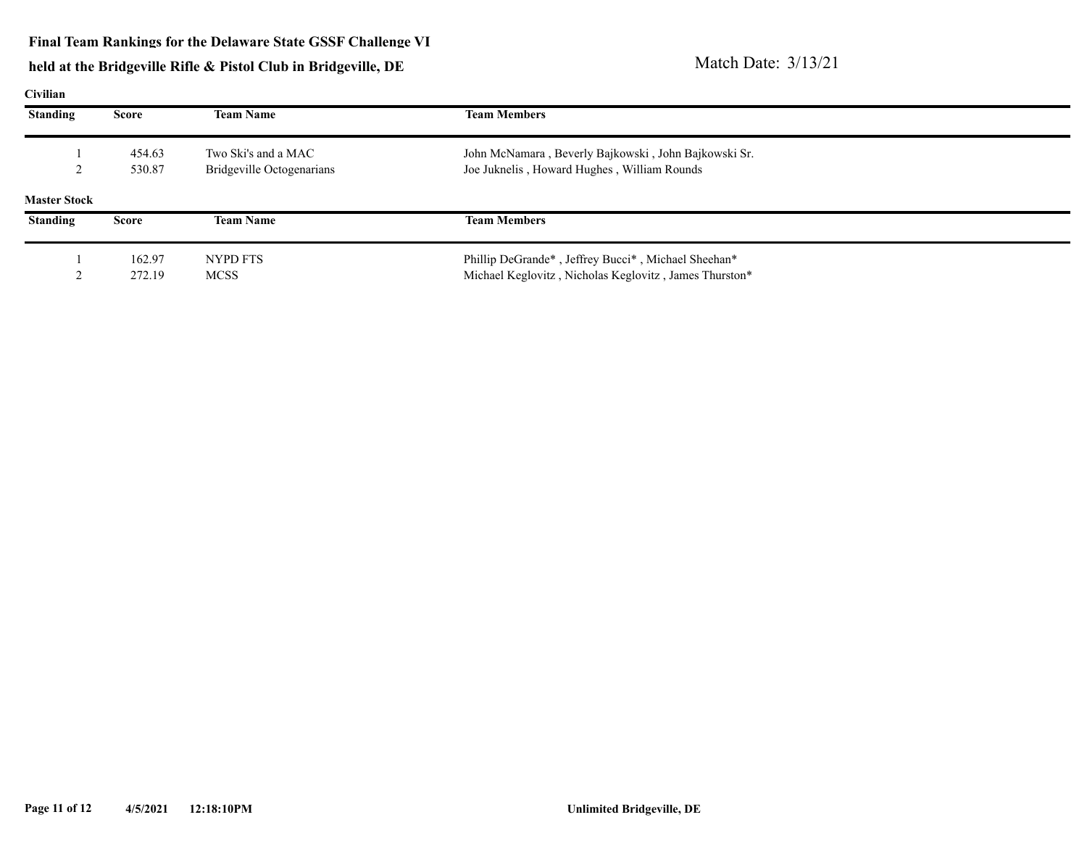## held at the Bridgeville Rifle & Pistol Club in Bridgeville, DE Match Date: 3/13/21

**Civilian**

| Стинан              |              |                           |                                                        |  |
|---------------------|--------------|---------------------------|--------------------------------------------------------|--|
| Standing            | Score        | <b>Team Name</b>          | <b>Team Members</b>                                    |  |
|                     | 454.63       | Two Ski's and a MAC       | John McNamara, Beverly Bajkowski, John Bajkowski Sr.   |  |
|                     | 530.87       | Bridgeville Octogenarians | Joe Juknelis, Howard Hughes, William Rounds            |  |
| <b>Master Stock</b> |              |                           |                                                        |  |
| <b>Standing</b>     | <b>Score</b> | <b>Team Name</b>          | <b>Team Members</b>                                    |  |
|                     | 162.97       | NYPD FTS                  | Phillip DeGrande*, Jeffrey Bucci*, Michael Sheehan*    |  |
|                     | 272.19       | MCSS                      | Michael Keglovitz, Nicholas Keglovitz, James Thurston* |  |